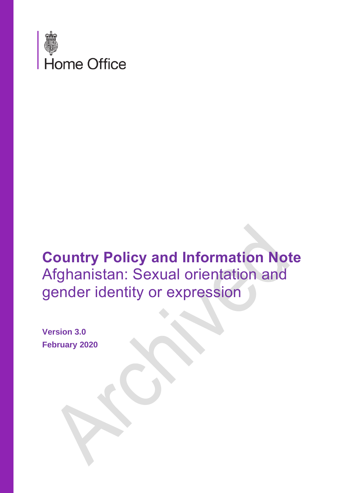

# **Country Policy and Information Note** Afghanistan: Sexual orientation and gender identity or expression

**Version 3.0 February 2020**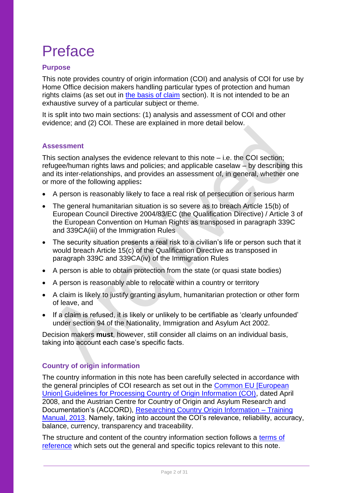# Preface

## **Purpose**

This note provides country of origin information (COI) and analysis of COI for use by Home Office decision makers handling particular types of protection and human rights claims (as set out in [the basis of claim](#page-6-0) section). It is not intended to be an exhaustive survey of a particular subject or theme.

It is split into two main sections: (1) analysis and assessment of COI and other evidence; and (2) COI. These are explained in more detail below.

#### **Assessment**

This section analyses the evidence relevant to this note – i.e. the COI section; refugee/human rights laws and policies; and applicable caselaw – by describing this and its inter-relationships, and provides an assessment of, in general, whether one or more of the following applies**:**

- A person is reasonably likely to face a real risk of persecution or serious harm
- The general humanitarian situation is so severe as to breach Article 15(b) of European Council Directive 2004/83/EC (the Qualification Directive) / Article 3 of the European Convention on Human Rights as transposed in paragraph 339C and 339CA(iii) of the Immigration Rules
- The security situation presents a real risk to a civilian's life or person such that it would breach Article 15(c) of the Qualification Directive as transposed in paragraph 339C and 339CA(iv) of the Immigration Rules
- A person is able to obtain protection from the state (or quasi state bodies)
- A person is reasonably able to relocate within a country or territory
- A claim is likely to justify granting asylum, humanitarian protection or other form of leave, and
- If a claim is refused, it is likely or unlikely to be certifiable as 'clearly unfounded' under section 94 of the Nationality, Immigration and Asylum Act 2002.

Decision makers **must**, however, still consider all claims on an individual basis, taking into account each case's specific facts.

#### **Country of origin information**

The country information in this note has been carefully selected in accordance with the general principles of COI research as set out in the [Common EU \[European](http://www.refworld.org/docid/48493f7f2.html)  [Union\] Guidelines for Processing Country of Origin Information \(COI\),](http://www.refworld.org/docid/48493f7f2.html) dated April 2008, and the Austrian Centre for Country of Origin and Asylum Research and Documentation's (ACCORD), [Researching Country Origin Information –](https://www.coi-training.net/researching-coi/) Training [Manual, 2013.](https://www.coi-training.net/researching-coi/) Namely, taking into account the COI's relevance, reliability, accuracy, balance, currency, transparency and traceability.

The structure and content of the country information section follows a [terms of](#page-23-0)  [reference](#page-23-0) which sets out the general and specific topics relevant to this note.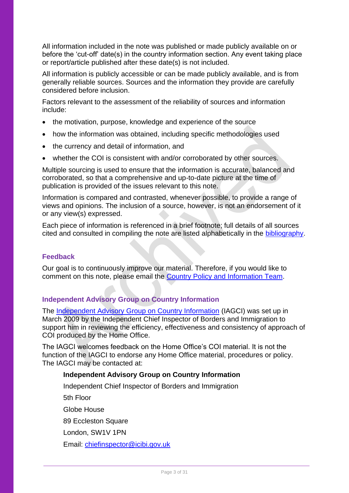All information included in the note was published or made publicly available on or before the 'cut-off' date(s) in the country information section. Any event taking place or report/article published after these date(s) is not included.

All information is publicly accessible or can be made publicly available, and is from generally reliable sources. Sources and the information they provide are carefully considered before inclusion.

Factors relevant to the assessment of the reliability of sources and information include:

- the motivation, purpose, knowledge and experience of the source
- how the information was obtained, including specific methodologies used
- the currency and detail of information, and
- whether the COI is consistent with and/or corroborated by other sources.

Multiple sourcing is used to ensure that the information is accurate, balanced and corroborated, so that a comprehensive and up-to-date picture at the time of publication is provided of the issues relevant to this note.

Information is compared and contrasted, whenever possible, to provide a range of views and opinions. The inclusion of a source, however, is not an endorsement of it or any view(s) expressed.

Each piece of information is referenced in a brief footnote; full details of all sources cited and consulted in compiling the note are listed alphabetically in the [bibliography.](#page-25-0)

#### **Feedback**

Our goal is to continuously improve our material. Therefore, if you would like to comment on this note, please email the [Country Policy and Information Team.](mailto:cipu@homeoffice.gov.uk)

#### **Independent Advisory Group on Country Information**

The [Independent Advisory Group on Country Information](https://www.gov.uk/government/organisations/independent-chief-inspector-of-borders-and-immigration/about/research) (IAGCI) was set up in March 2009 by the Independent Chief Inspector of Borders and Immigration to support him in reviewing the efficiency, effectiveness and consistency of approach of COI produced by the Home Office.

The IAGCI welcomes feedback on the Home Office's COI material. It is not the function of the IAGCI to endorse any Home Office material, procedures or policy. The IAGCI may be contacted at:

#### **Independent Advisory Group on Country Information**

Independent Chief Inspector of Borders and Immigration 5th Floor Globe House 89 Eccleston Square London, SW1V 1PN Email: [chiefinspector@icibi.gov.uk](mailto:chiefinspector@icibi.gov.uk)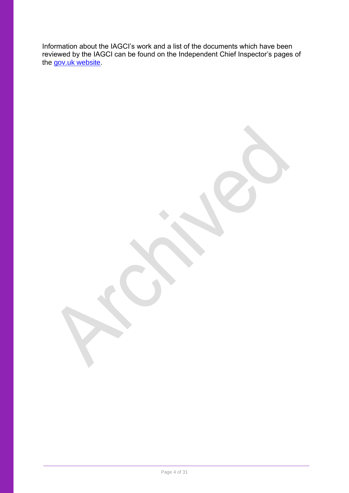Information about the IAGCI's work and a list of the documents which have been reviewed by the IAGCI can be found on the Independent Chief Inspector's pages of the [gov.uk website.](https://www.gov.uk/government/organisations/independent-chief-inspector-of-borders-and-immigration/about/research#reviews)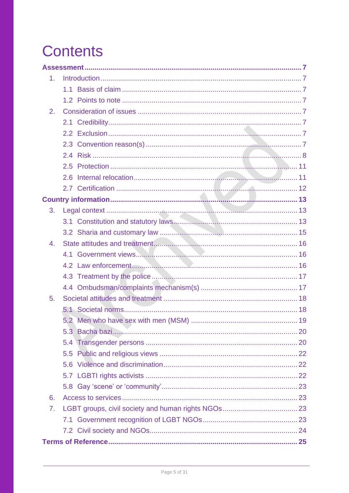# <span id="page-4-0"></span>**Contents**

| 1 <sub>1</sub> |     |  |  |
|----------------|-----|--|--|
|                | 1.1 |  |  |
|                |     |  |  |
| 2.             |     |  |  |
|                |     |  |  |
|                |     |  |  |
|                |     |  |  |
|                |     |  |  |
|                |     |  |  |
|                | 2.6 |  |  |
|                |     |  |  |
|                |     |  |  |
| 3.             |     |  |  |
|                |     |  |  |
|                |     |  |  |
| 4.             |     |  |  |
|                |     |  |  |
|                |     |  |  |
|                |     |  |  |
|                |     |  |  |
| 5.             |     |  |  |
|                |     |  |  |
|                |     |  |  |
|                |     |  |  |
|                |     |  |  |
|                |     |  |  |
|                |     |  |  |
|                |     |  |  |
|                |     |  |  |
| 6.             |     |  |  |
| 7.             |     |  |  |
|                |     |  |  |
|                |     |  |  |
|                |     |  |  |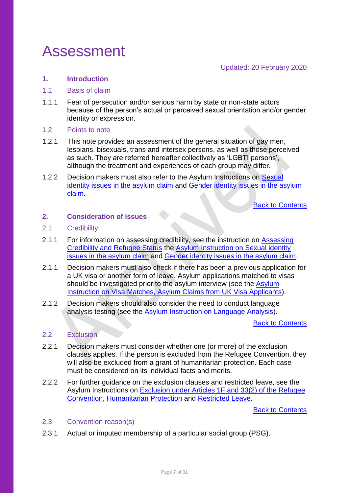# <span id="page-6-1"></span>Assessment

Updated: 20 February 2020

#### <span id="page-6-2"></span>**1. Introduction**

#### <span id="page-6-0"></span>1.1 Basis of claim

1.1.1 Fear of persecution and/or serious harm by state or non-state actors because of the person's actual or perceived sexual orientation and/or gender identity or expression.

#### <span id="page-6-3"></span>1.2 Points to note

- 1.2.1 This note provides an assessment of the general situation of gay men, lesbians, bisexuals, trans and intersex persons, as well as those perceived as such. They are referred hereafter collectively as 'LGBTI persons', although the treatment and experiences of each group may differ.
- 1.2.2 Decision makers must also refer to the Asylum Instructions on Sexual [identity issues in the asylum claim](https://www.gov.uk/government/publications/sexual-identity-issues-in-the-asylum-claim) and [Gender identity issues in the asylum](https://www.gov.uk/government/publications/dealing-with-gender-identity-issues-in-the-asylum-claim-process)  [claim.](https://www.gov.uk/government/publications/dealing-with-gender-identity-issues-in-the-asylum-claim-process)

[Back to Contents](#page-4-0)

### <span id="page-6-4"></span>**2. Consideration of issues**

#### <span id="page-6-5"></span>2.1 Credibility

- 2.1.1 For information on assessing credibility, see the instruction on Assessing [Credibility and Refugee Status](https://www.gov.uk/government/publications/considering-asylum-claims-and-assessing-credibility-instruction) the [Asylum Instruction on Sexual identity](https://www.gov.uk/government/publications/sexual-identity-issues-in-the-asylum-claim)  [issues in the asylum claim](https://www.gov.uk/government/publications/sexual-identity-issues-in-the-asylum-claim) and [Gender identity issues in the asylum claim.](https://www.gov.uk/government/publications/dealing-with-gender-identity-issues-in-the-asylum-claim-process)
- 2.1.1 Decision makers must also check if there has been a previous application for a UK visa or another form of leave. Asylum applications matched to visas should be investigated prior to the asylum interview (see the Asylum [Instruction on Visa Matches, Asylum Claims from UK Visa Applicants\)](https://www.gov.uk/government/publications/visa-matches-handling-asylum-claims-from-uk-visa-applicants-instruction).
- 2.1.2 Decision makers should also consider the need to conduct language analysis testing (see the [Asylum Instruction on Language Analysis\)](https://www.gov.uk/government/publications/language-analysis-instruction).

[Back to Contents](#page-4-0)

#### <span id="page-6-6"></span>2.2 Exclusion

- 2.2.1 Decision makers must consider whether one (or more) of the exclusion clauses applies. If the person is excluded from the Refugee Convention, they will also be excluded from a grant of humanitarian protection. Each case must be considered on its individual facts and merits.
- 2.2.2 For further guidance on the exclusion clauses and restricted leave, see the Asylum Instructions on [Exclusion under Articles 1F and 33\(2\) of the Refugee](https://www.gov.uk/government/publications/asylum-instruction-exclusion-article-1f-of-the-refugee-convention)  [Convention,](https://www.gov.uk/government/publications/asylum-instruction-exclusion-article-1f-of-the-refugee-convention) [Humanitarian Protection](https://horizon.fcos.gsi.gov.uk/file-wrapper/humanitarian-protection) and [Restricted Leave.](https://www.gov.uk/government/publications/restricted-leave-asylum-casework-instruction)

[Back to Contents](#page-4-0)

#### <span id="page-6-7"></span>2.3 Convention reason(s)

2.3.1 Actual or imputed membership of a particular social group (PSG).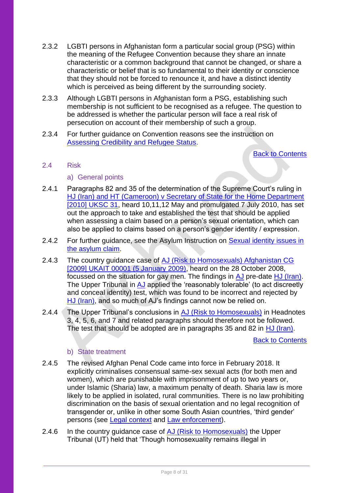- 2.3.2 LGBTI persons in Afghanistan form a particular social group (PSG) within the meaning of the Refugee Convention because they share an innate characteristic or a common background that cannot be changed, or share a characteristic or belief that is so fundamental to their identity or conscience that they should not be forced to renounce it, and have a distinct identity which is perceived as being different by the surrounding society.
- 2.3.3 Although LGBTI persons in Afghanistan form a PSG, establishing such membership is not sufficient to be recognised as a refugee. The question to be addressed is whether the particular person will face a real risk of persecution on account of their membership of such a group.
- 2.3.4 For further guidance on Convention reasons see the instruction on [Assessing Credibility and Refugee Status.](https://www.gov.uk/government/publications/considering-asylum-claims-and-assessing-credibility-instruction)

[Back to Contents](#page-4-0)

#### <span id="page-7-0"></span>2.4 Risk

- a) General points
- 2.4.1 Paragraphs 82 and 35 of the determination of the Supreme Court's ruling in [HJ \(Iran\) and HT \(Cameroon\) v Secretary of State for the Home Department](https://www.bailii.org/uk/cases/UKSC/2010/31.html)  [\[2010\] UKSC 31,](https://www.bailii.org/uk/cases/UKSC/2010/31.html) heard 10,11,12 May and promulgated 7 July 2010, has set out the approach to take and established the test that should be applied when assessing a claim based on a person's sexual orientation, which can also be applied to claims based on a person's gender identity / expression.
- 2.4.2 For further guidance, see the Asylum Instruction on Sexual identity issues in [the asylum claim.](https://www.gov.uk/government/publications/sexual-identity-issues-in-the-asylum-claim)
- 2.4.3 The country guidance case of [AJ \(Risk to Homosexuals\) Afghanistan CG](https://www.bailii.org/uk/cases/UKIAT/2009/00001.html)  [\[2009\] UKAIT 00001 \(5 January 2009\),](https://www.bailii.org/uk/cases/UKIAT/2009/00001.html) heard on the 28 October 2008, focussed on the situation for gay men. The findings in [AJ](https://www.bailii.org/uk/cases/UKIAT/2009/00001.html) pre-date [HJ \(Iran\).](https://www.bailii.org/uk/cases/UKSC/2010/31.html) The Upper Tribunal in [AJ](https://www.bailii.org/uk/cases/UKIAT/2009/00001.html) applied the 'reasonably tolerable' (to act discreetly and conceal identity) test, which was found to be incorrect and rejected by [HJ \(Iran\),](https://www.bailii.org/uk/cases/UKSC/2010/31.html) and so much of AJ's findings cannot now be relied on.
- 2.4.4 The Upper Tribunal's conclusions in [AJ \(Risk to Homosexuals\)](https://www.bailii.org/uk/cases/UKIAT/2009/00001.html) in Headnotes 3, 4, 5, 6, and 7 and related paragraphs should therefore not be followed. The test that should be adopted are in paragraphs 35 and 82 in [HJ \(Iran\).](https://www.bailii.org/uk/cases/UKSC/2010/31.html)

[Back to Contents](#page-4-0)

#### b) State treatment

- 2.4.5 The revised Afghan Penal Code came into force in February 2018. It explicitly criminalises consensual same-sex sexual acts (for both men and women), which are punishable with imprisonment of up to two years or, under Islamic (Sharia) law, a maximum penalty of death. Sharia law is more likely to be applied in isolated, rural communities. There is no law prohibiting discrimination on the basis of sexual orientation and no legal recognition of transgender or, unlike in other some South Asian countries, 'third gender' persons (see [Legal context](#page-12-0) and [Law enforcement\)](#page-15-2).
- 2.4.6 In the country quidance case of [AJ \(Risk to Homosexuals\)](https://www.bailii.org/uk/cases/UKIAT/2009/00001.html) the Upper Tribunal (UT) held that 'Though homosexuality remains illegal in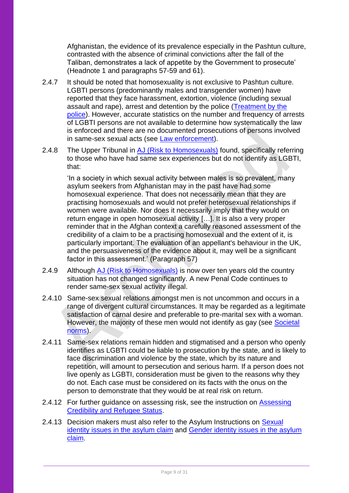Afghanistan, the evidence of its prevalence especially in the Pashtun culture, contrasted with the absence of criminal convictions after the fall of the Taliban, demonstrates a lack of appetite by the Government to prosecute' (Headnote 1 and paragraphs 57-59 and 61).

- 2.4.7 It should be noted that homosexuality is not exclusive to Pashtun culture. LGBTI persons (predominantly males and transgender women) have reported that they face harassment, extortion, violence (including sexual assault and rape), arrest and detention by the police [\(Treatment by the](#page-16-0)  [police\)](#page-16-0). However, accurate statistics on the number and frequency of arrests of LGBTI persons are not available to determine how systematically the law is enforced and there are no documented prosecutions of persons involved in same-sex sexual acts (see [Law enforcement\)](#page-15-2).
- 2.4.8 The Upper Tribunal in [AJ \(Risk to Homosexuals\)](https://www.bailii.org/uk/cases/UKIAT/2009/00001.html) found, specifically referring to those who have had same sex experiences but do not identify as LGBTI, that:

'In a society in which sexual activity between males is so prevalent, many asylum seekers from Afghanistan may in the past have had some homosexual experience. That does not necessarily mean that they are practising homosexuals and would not prefer heterosexual relationships if women were available. Nor does it necessarily imply that they would on return engage in open homosexual activity […]. It is also a very proper reminder that in the Afghan context a carefully reasoned assessment of the credibility of a claim to be a practising homosexual and the extent of it, is particularly important. The evaluation of an appellant's behaviour in the UK, and the persuasiveness of the evidence about it, may well be a significant factor in this assessment.' (Paragraph 57)

- 2.4.9 Although [AJ \(Risk to Homosexuals\)](https://www.bailii.org/uk/cases/UKIAT/2009/00001.html) is now over ten years old the country situation has not changed significantly. A new Penal Code continues to render same-sex sexual activity illegal.
- 2.4.10 Same-sex sexual relations amongst men is not uncommon and occurs in a range of divergent cultural circumstances. It may be regarded as a legitimate satisfaction of carnal desire and preferable to pre-marital sex with a woman. However, the majority of these men would not identify as gay (see Societal [norms\)](#page-17-1).
- 2.4.11 Same-sex relations remain hidden and stigmatised and a person who openly identifies as LGBTI could be liable to prosecution by the state, and is likely to face discrimination and violence by the state, which by its nature and repetition, will amount to persecution and serious harm. If a person does not live openly as LGBTI, consideration must be given to the reasons why they do not. Each case must be considered on its facts with the onus on the person to demonstrate that they would be at real risk on return.
- 2.4.12 For further guidance on assessing risk, see the instruction on Assessing [Credibility and Refugee Status.](https://www.gov.uk/government/publications/considering-asylum-claims-and-assessing-credibility-instruction)
- 2.4.13 Decision makers must also refer to the Asylum Instructions on Sexual [identity issues in the asylum claim](https://www.gov.uk/government/publications/sexual-identity-issues-in-the-asylum-claim) and [Gender identity issues in the asylum](https://www.gov.uk/government/publications/dealing-with-gender-identity-issues-in-the-asylum-claim-process)  [claim.](https://www.gov.uk/government/publications/dealing-with-gender-identity-issues-in-the-asylum-claim-process)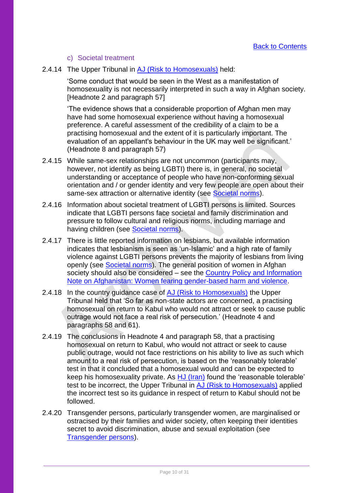#### c) Societal treatment

2.4.14 The Upper Tribunal in [AJ \(Risk to Homosexuals\)](https://www.bailii.org/uk/cases/UKIAT/2009/00001.html) held:

'Some conduct that would be seen in the West as a manifestation of homosexuality is not necessarily interpreted in such a way in Afghan society. [Headnote 2 and paragraph 57]

'The evidence shows that a considerable proportion of Afghan men may have had some homosexual experience without having a homosexual preference. A careful assessment of the credibility of a claim to be a practising homosexual and the extent of it is particularly important. The evaluation of an appellant's behaviour in the UK may well be significant.' (Headnote 8 and paragraph 57)

- 2.4.15 While same-sex relationships are not uncommon (participants may, however, not identify as being LGBTI) there is, in general, no societal understanding or acceptance of people who have non-conforming sexual orientation and / or gender identity and very few people are open about their same-sex attraction or alternative identity (see [Societal norms\)](#page-17-1).
- 2.4.16 Information about societal treatment of LGBTI persons is limited. Sources indicate that LGBTI persons face societal and family discrimination and pressure to follow cultural and religious norms, including marriage and having children (see [Societal norms\)](#page-17-1).
- 2.4.17 There is little reported information on lesbians, but available information indicates that lesbianism is seen as 'un-Islamic' and a high rate of family violence against LGBTI persons prevents the majority of lesbians from living openly (see [Societal norms\)](#page-17-1). The general position of women in Afghan society should also be considered – see the Country Policy and Information [Note on Afghanistan: Women fearing gender-based harm and violence.](https://www.gov.uk/government/publications/afghanistan-country-policy-and-information-notes)
- 2.4.18 In the country guidance case of [AJ \(Risk to Homosexuals\)](https://www.bailii.org/uk/cases/UKIAT/2009/00001.html) the Upper Tribunal held that 'So far as non-state actors are concerned, a practising homosexual on return to Kabul who would not attract or seek to cause public outrage would not face a real risk of persecution.' (Headnote 4 and paragraphs 58 and 61).
- 2.4.19 The conclusions in Headnote 4 and paragraph 58, that a practising homosexual on return to Kabul, who would not attract or seek to cause public outrage, would not face restrictions on his ability to live as such which amount to a real risk of persecution, is based on the 'reasonably tolerable' test in that it concluded that a homosexual would and can be expected to keep his homosexuality private. As [HJ \(Iran\)](https://www.bailii.org/uk/cases/UKSC/2010/31.html) found the 'reasonable tolerable' test to be incorrect, the Upper Tribunal in [AJ \(Risk to Homosexuals\)](https://www.bailii.org/uk/cases/UKIAT/2009/00001.html) applied the incorrect test so its guidance in respect of return to Kabul should not be followed.
- 2.4.20 Transgender persons, particularly transgender women, are marginalised or ostracised by their families and wider society, often keeping their identities secret to avoid discrimination, abuse and sexual exploitation (see [Transgender persons\)](#page-19-1).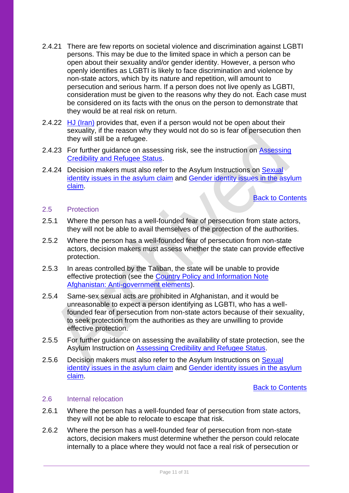- 2.4.21 There are few reports on societal violence and discrimination against LGBTI persons. This may be due to the limited space in which a person can be open about their sexuality and/or gender identity. However, a person who openly identifies as LGBTI is likely to face discrimination and violence by non-state actors, which by its nature and repetition, will amount to persecution and serious harm. If a person does not live openly as LGBTI, consideration must be given to the reasons why they do not. Each case must be considered on its facts with the onus on the person to demonstrate that they would be at real risk on return.
- 2.4.22 [HJ \(Iran\)](https://www.bailii.org/uk/cases/UKSC/2010/31.html) provides that, even if a person would not be open about their sexuality, if the reason why they would not do so is fear of persecution then they will still be a refugee.
- 2.4.23 For further guidance on assessing risk, see the instruction on Assessing [Credibility and Refugee Status.](https://www.gov.uk/government/publications/considering-asylum-claims-and-assessing-credibility-instruction)
- 2.4.24 Decision makers must also refer to the Asylum Instructions on Sexual [identity issues in the asylum claim](https://www.gov.uk/government/publications/sexual-identity-issues-in-the-asylum-claim) and [Gender identity issues in the asylum](https://www.gov.uk/government/publications/dealing-with-gender-identity-issues-in-the-asylum-claim-process)  [claim.](https://www.gov.uk/government/publications/dealing-with-gender-identity-issues-in-the-asylum-claim-process)

[Back to Contents](#page-4-0)

#### <span id="page-10-0"></span>2.5 Protection

- 2.5.1 Where the person has a well-founded fear of persecution from state actors, they will not be able to avail themselves of the protection of the authorities.
- 2.5.2 Where the person has a well-founded fear of persecution from non-state actors, decision makers must assess whether the state can provide effective protection.
- 2.5.3 In areas controlled by the Taliban, the state will be unable to provide effective protection (see the [Country Policy and Information Note](https://www.gov.uk/government/publications/afghanistan-country-information-and-guidance)  [Afghanistan: Anti-government elements\)](https://www.gov.uk/government/publications/afghanistan-country-information-and-guidance).
- 2.5.4 Same-sex sexual acts are prohibited in Afghanistan, and it would be unreasonable to expect a person identifying as LGBTI, who has a wellfounded fear of persecution from non-state actors because of their sexuality, to seek protection from the authorities as they are unwilling to provide effective protection.
- 2.5.5 For further guidance on assessing the availability of state protection, see the Asylum Instruction on [Assessing Credibility and](https://www.gov.uk/government/publications/considering-asylum-claims-and-assessing-credibility-instruction) Refugee Status.
- 2.5.6 Decision makers must also refer to the Asylum Instructions on [Sexual](https://www.gov.uk/government/publications/sexual-identity-issues-in-the-asylum-claim)  [identity issues in the asylum claim](https://www.gov.uk/government/publications/sexual-identity-issues-in-the-asylum-claim) and [Gender identity issues in the asylum](https://www.gov.uk/government/publications/dealing-with-gender-identity-issues-in-the-asylum-claim-process)  [claim.](https://www.gov.uk/government/publications/dealing-with-gender-identity-issues-in-the-asylum-claim-process)

[Back to Contents](#page-4-0)

#### <span id="page-10-1"></span>2.6 Internal relocation

- 2.6.1 Where the person has a well-founded fear of persecution from state actors, they will not be able to relocate to escape that risk.
- 2.6.2 Where the person has a well-founded fear of persecution from non-state actors, decision makers must determine whether the person could relocate internally to a place where they would not face a real risk of persecution or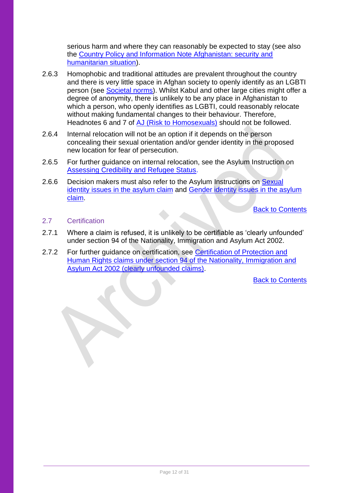serious harm and where they can reasonably be expected to stay (see also the [Country Policy and Information Note Afghanistan: security and](https://www.gov.uk/government/publications/afghanistan-country-information-and-guidance)  [humanitarian situation\)](https://www.gov.uk/government/publications/afghanistan-country-information-and-guidance).

- 2.6.3 Homophobic and traditional attitudes are prevalent throughout the country and there is very little space in Afghan society to openly identify as an LGBTI person (see [Societal norms\)](#page-17-1). Whilst Kabul and other large cities might offer a degree of anonymity, there is unlikely to be any place in Afghanistan to which a person, who openly identifies as LGBTI, could reasonably relocate without making fundamental changes to their behaviour. Therefore, Headnotes 6 and 7 of [AJ \(Risk to Homosexuals\)](https://www.bailii.org/uk/cases/UKIAT/2009/00001.html) should not be followed.
- 2.6.4 Internal relocation will not be an option if it depends on the person concealing their sexual orientation and/or gender identity in the proposed new location for fear of persecution.
- 2.6.5 For further guidance on internal relocation, see the Asylum Instruction on [Assessing Credibility and Refugee Status.](https://www.gov.uk/government/publications/considering-asylum-claims-and-assessing-credibility-instruction)
- 2.6.6 Decision makers must also refer to the Asylum Instructions on [Sexual](https://www.gov.uk/government/publications/sexual-identity-issues-in-the-asylum-claim)  [identity issues in the asylum claim](https://www.gov.uk/government/publications/sexual-identity-issues-in-the-asylum-claim) and [Gender identity issues in the asylum](https://www.gov.uk/government/publications/dealing-with-gender-identity-issues-in-the-asylum-claim-process)  [claim.](https://www.gov.uk/government/publications/dealing-with-gender-identity-issues-in-the-asylum-claim-process)

[Back to Contents](#page-4-0)

## <span id="page-11-0"></span>2.7 Certification

- 2.7.1 Where a claim is refused, it is unlikely to be certifiable as 'clearly unfounded' under section 94 of the Nationality, Immigration and Asylum Act 2002.
- <span id="page-11-1"></span>2.7.2 For further guidance on certification, see Certification of Protection and [Human Rights claims under section 94 of the Nationality, Immigration and](https://www.gov.uk/government/publications/non-suspensive-appeals-certification-under-section-94-of-the-nia-act-2002-process)  [Asylum Act 2002 \(clearly unfounded claims\).](https://www.gov.uk/government/publications/non-suspensive-appeals-certification-under-section-94-of-the-nia-act-2002-process)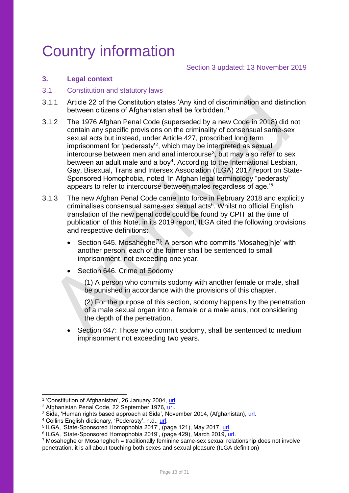# Country information

#### Section 3 updated: 13 November 2019

#### <span id="page-12-0"></span>**3. Legal context**

#### <span id="page-12-1"></span>3.1 Constitution and statutory laws

- 3.1.1 Article 22 of the Constitution states 'Any kind of discrimination and distinction between citizens of Afghanistan shall be forbidden.'<sup>1</sup>
- 3.1.2 The 1976 Afghan Penal Code (superseded by a new Code in 2018) did not contain any specific provisions on the criminality of consensual same-sex sexual acts but instead, under Article 427, proscribed long term imprisonment for 'pederasty'<sup>2</sup> , which may be interpreted as sexual intercourse between men and anal intercourse<sup>3</sup>, but may also refer to sex between an adult male and a boy<sup>4</sup>. According to the International Lesbian, Gay, Bisexual, Trans and Intersex Association (ILGA) 2017 report on State-Sponsored Homophobia, noted 'In Afghan legal terminology "pederasty" appears to refer to intercourse between males regardless of age.'<sup>5</sup>
- 3.1.3 The new Afghan Penal Code came into force in February 2018 and explicitly criminalises consensual same-sex sexual acts<sup>6</sup>. Whilst no official English translation of the new penal code could be found by CPIT at the time of publication of this Note, in its 2019 report, ILGA cited the following provisions and respective definitions:
	- Section 645. Mosaheghe<sup>[7]</sup>: A person who commits 'Mosaheg[h]e' with another person, each of the former shall be sentenced to small imprisonment, not exceeding one year.
	- Section 646. Crime of Sodomy.
		- (1) A person who commits sodomy with another female or male, shall be punished in accordance with the provisions of this chapter.
		- (2) For the purpose of this section, sodomy happens by the penetration of a male sexual organ into a female or a male anus, not considering the depth of the penetration.
	- Section 647: Those who commit sodomy, shall be sentenced to medium imprisonment not exceeding two years.

<sup>&</sup>lt;sup>1</sup> 'Constitution of Afghanistan', 26 January 2004, [url.](http://www.afghanembassy.com.pl/afg/images/pliki/TheConstitution.pdf)

<sup>&</sup>lt;sup>2</sup> Afghanistan Penal Code, 22 September 1976, [url.](http://www.refworld.org/docid/4c58395a2.html)

<sup>3</sup> Sida, 'Human rights based approach at Sida', November 2014, (Afghanistan), [url.](https://www.sida.se/contentassets/89da6ee09a8547a7b876ce8c02e49aee/18254.pdf)

<sup>4</sup> Collins English dictionary, 'Pederasty', n.d., [url.](https://www.collinsdictionary.com/dictionary/english/pederasty)

<sup>&</sup>lt;sup>5</sup> ILGA, 'State-Sponsored Homophobia 2017', (page 121), May 2017, <u>url</u>.<br><sup>6</sup> ILGA, 'State-Sponsored Homophobia 2019', (page 429), March 2019, <u>url</u>.

 $7$  Mosaheghe or Mosahegheh = traditionally feminine same-sex sexual relationship does not involve penetration, it is all about touching both sexes and sexual pleasure (ILGA definition)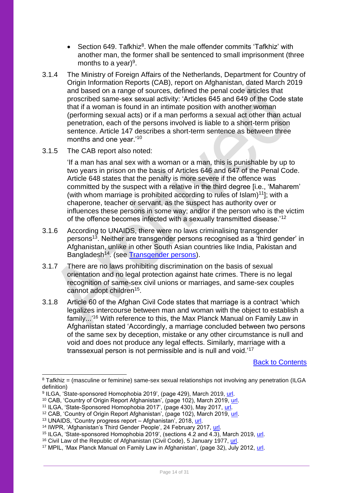- Section 649. Tafkhiz<sup>8</sup>. When the male offender commits 'Tafkhiz' with another man, the former shall be sentenced to small imprisonment (three months to a year)<sup>9</sup>.
- 3.1.4 The Ministry of Foreign Affairs of the Netherlands, Department for Country of Origin Information Reports (CAB), report on Afghanistan, dated March 2019 and based on a range of sources, defined the penal code articles that proscribed same-sex sexual activity: 'Articles 645 and 649 of the Code state that if a woman is found in an intimate position with another woman (performing sexual acts) or if a man performs a sexual act other than actual penetration, each of the persons involved is liable to a short-term prison sentence. Article 147 describes a short-term sentence as between three months and one year.'<sup>10</sup>
- 3.1.5 The CAB report also noted:

'If a man has anal sex with a woman or a man, this is punishable by up to two years in prison on the basis of Articles 646 and 647 of the Penal Code. Article 648 states that the penalty is more severe if the offence was committed by the suspect with a relative in the third degree [i.e., 'Maharem' (with whom marriage is prohibited according to rules of  $slam$ <sup>11</sup>]; with a chaperone, teacher or servant, as the suspect has authority over or influences these persons in some way; and/or if the person who is the victim of the offence becomes infected with a sexually transmitted disease.'<sup>12</sup>

- 3.1.6 According to UNAIDS, there were no laws criminalising transgender persons<sup>13</sup>. Neither are transgender persons recognised as a 'third gender' in Afghanistan, unlike in other South Asian countries like India, Pakistan and Bangladesh<sup>14</sup>. (see [Transgender persons\)](#page-19-1).
- 3.1.7 There are no laws prohibiting discrimination on the basis of sexual orientation and no legal protection against hate crimes. There is no legal recognition of same-sex civil unions or marriages, and same-sex couples cannot adopt children<sup>15</sup>.
- 3.1.8 Article 60 of the Afghan Civil Code states that marriage is a contract 'which legalizes intercourse between man and woman with the object to establish a family...'<sup>16</sup> With reference to this, the Max Planck Manual on Family Law in Afghanistan stated 'Accordingly, a marriage concluded between two persons of the same sex by deception, mistake or any other circumstance is null and void and does not produce any legal effects. Similarly, marriage with a transsexual person is not permissible and is null and void.'<sup>17</sup>

<sup>&</sup>lt;sup>8</sup> Tafkhiz = (masculine or feminine) same-sex sexual relationships not involving any penetration (ILGA definition)

<sup>&</sup>lt;sup>9</sup> ILGA, 'State-sponsored Homophobia 2019', (page 429), March 2019, [url.](https://ilga.org/downloads/ILGA_State_Sponsored_Homophobia_2019.pdf)

<sup>&</sup>lt;sup>10</sup> CAB, 'Country of Origin Report Afghanistan', (page 102), March 2019, [url.](https://www.rijksoverheid.nl/documenten/ambtsberichten/2019/03/01/algemeen-ambtsbericht-afghanistan)

<sup>&</sup>lt;sup>11</sup> ILGA, 'State-Sponsored Homophobia 2017', (page 430), May 2017, [url.](https://ilga.org/sites/default/files/ILGA_State_Sponsored_Homophobia_2017_WEB.pdf)

<sup>&</sup>lt;sup>12</sup> CAB, 'Country of Origin Report Afghanistan', (page 102), March 2019, [url.](https://www.rijksoverheid.nl/documenten/ambtsberichten/2019/03/01/algemeen-ambtsbericht-afghanistan)

<sup>&</sup>lt;sup>13</sup> UNAIDS, 'Country progress report – Afghanistan', 2018, <u>url</u>.

<sup>14</sup> IWPR, 'Afghanistan's Third Gender People', 24 February 2017, [url.](https://iwpr.net/global-voices/afghanistans-third-gender-people)

<sup>&</sup>lt;sup>15</sup> ILGA, 'State-sponsored Homophobia 2019', (sections 4.2 and 4.3), March 2019, [url.](https://ilga.org/downloads/ILGA_State_Sponsored_Homophobia_2019.pdf)

<sup>&</sup>lt;sup>16</sup> Civil Law of the Republic of Afghanistan (Civil Code), 5 January 1977, [url.](http://www.asianlii.org/af/legis/laws/clotroacogn353p1977010513551015a650/)

<sup>&</sup>lt;sup>17</sup> MPIL, 'Max Planck Manual on Family Law in Afghanistan', (page 32), July 2012, [url.](http://www.mpipriv.de/files/pdf3/max_planck_manual_on_afghan_family_law_english.pdf)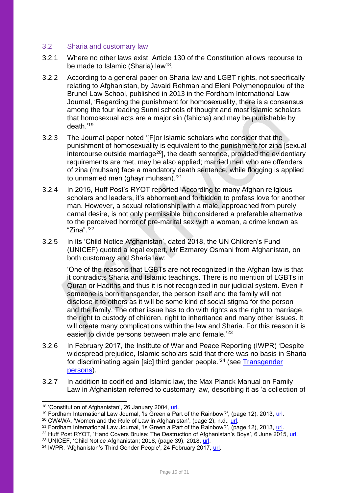#### <span id="page-14-0"></span>3.2 Sharia and customary law

- 3.2.1 Where no other laws exist, Article 130 of the Constitution allows recourse to be made to Islamic (Sharia) law<sup>18</sup>.
- 3.2.2 According to a general paper on Sharia law and LGBT rights, not specifically relating to Afghanistan, by Javaid Rehman and Eleni Polymenopoulou of the Brunel Law School, published in 2013 in the Fordham International Law Journal, 'Regarding the punishment for homosexuality, there is a consensus among the four leading Sunni schools of thought and most Islamic scholars that homosexual acts are a major sin (fahicha) and may be punishable by death<sup>'19</sup>
- 3.2.3 The Journal paper noted '[F]or Islamic scholars who consider that the punishment of homosexuality is equivalent to the punishment for zina [sexual intercourse outside marriage<sup>20</sup>, the death sentence, provided the evidentiary requirements are met, may be also applied; married men who are offenders of zina (muhsan) face a mandatory death sentence, while flogging is applied to unmarried men (ghayr muhsan).<sup>'21</sup>
- 3.2.4 In 2015, Huff Post's RYOT reported 'According to many Afghan religious scholars and leaders, it's abhorrent and forbidden to profess love for another man. However, a sexual relationship with a male, approached from purely carnal desire, is not only permissible but considered a preferable alternative to the perceived horror of pre-marital sex with a woman, a crime known as "Zina".'<sup>22</sup>
- 3.2.5 In its 'Child Notice Afghanistan', dated 2018, the UN Children's Fund (UNICEF) quoted a legal expert, Mr Ezmarey Osmani from Afghanistan, on both customary and Sharia law:

'One of the reasons that LGBTs are not recognized in the Afghan law is that it contradicts Sharia and Islamic teachings. There is no mention of LGBTs in Quran or Hadiths and thus it is not recognized in our judicial system. Even if someone is born transgender, the person itself and the family will not disclose it to others as it will be some kind of social stigma for the person and the family. The other issue has to do with rights as the right to marriage, the right to custody of children, right to inheritance and many other issues. It will create many complications within the law and Sharia. For this reason it is easier to divide persons between male and female.<sup>'23</sup>

- 3.2.6 In February 2017, the Institute of War and Peace Reporting (IWPR) 'Despite widespread prejudice, Islamic scholars said that there was no basis in Sharia for discriminating again [sic] third gender people.'<sup>24</sup> (see [Transgender](#page-19-1)  [persons\)](#page-19-1).
- 3.2.7 In addition to codified and Islamic law, the Max Planck Manual on Family Law in Afghanistan referred to customary law, describing it as 'a collection of

<sup>18</sup> 'Constitution of Afghanistan', 26 January 2004, [url.](http://www.afghanembassy.com.pl/afg/images/pliki/TheConstitution.pdf)

<sup>&</sup>lt;sup>19</sup> Fordham International Law Journal, 'Is Green a Part of the Rainbow?', (page 12), 2013, [url.](https://ir.lawnet.fordham.edu/cgi/viewcontent.cgi?article=2322&context=ilj)

<sup>&</sup>lt;sup>20</sup> CW4WA, 'Women and the Rule of Law in Afghanistan', (page 2), n.d.,  $url$ .

<sup>&</sup>lt;sup>21</sup> Fordham International Law Journal, 'Is Green a Part of the Rainbow?', (page 12), 2013, [url.](https://ir.lawnet.fordham.edu/cgi/viewcontent.cgi?article=2322&context=ilj)

<sup>&</sup>lt;sup>22</sup> Huff Post RYOT, 'Hand Covers Bruise: The Destruction of Afghanistan's Boys', 6 June 2015, [url.](https://medium.com/ryot-news/hand-covers-bruise-the-destruction-of-afghanistan-s-boys-e4c6db2b7f7f)

<sup>23</sup> UNICEF, 'Child Notice Afghanistan; 2018, (page 39), 2018, [url.](https://www.ecoi.net/en/file/local/2004819/UNC+Rapport+Child+Notice_Afghanistan+EN+%282018%29+FINAL.pdf)

<sup>&</sup>lt;sup>24</sup> IWPR, 'Afghanistan's Third Gender People<sup>'</sup>, 24 February 2017, [url.](https://iwpr.net/global-voices/afghanistans-third-gender-people)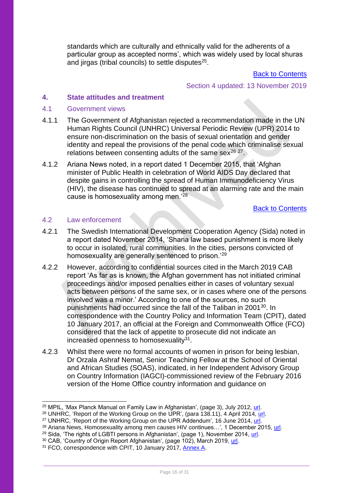standards which are culturally and ethnically valid for the adherents of a particular group as accepted norms', which was widely used by local shuras and jirgas (tribal councils) to settle disputes<sup>25</sup>.

[Back to Contents](#page-4-0)

Section 4 updated: 13 November 2019

#### <span id="page-15-0"></span>**4. State attitudes and treatment**

#### <span id="page-15-1"></span>4.1 Government views

- 4.1.1 The Government of Afghanistan rejected a recommendation made in the UN Human Rights Council (UNHRC) Universal Periodic Review (UPR) 2014 to ensure non-discrimination on the basis of sexual orientation and gender identity and repeal the provisions of the penal code which criminalise sexual relations between consenting adults of the same sex<sup>26 27</sup>.
- 4.1.2 Ariana News noted, in a report dated 1 December 2015, that 'Afghan minister of Public Health in celebration of World AIDS Day declared that despite gains in controlling the spread of Human Immunodeficiency Virus (HIV), the disease has continued to spread at an alarming rate and the main cause is homosexuality among men.<sup>'28</sup>

[Back to Contents](#page-4-0)

#### <span id="page-15-2"></span>4.2 Law enforcement

- 4.2.1 The Swedish International Development Cooperation Agency (Sida) noted in a report dated November 2014, 'Sharia law based punishment is more likely to occur in isolated, rural communities. In the cities, persons convicted of homosexuality are generally sentenced to prison.'<sup>29</sup>
- 4.2.2 However, according to confidential sources cited in the March 2019 CAB report 'As far as is known, the Afghan government has not initiated criminal proceedings and/or imposed penalties either in cases of voluntary sexual acts between persons of the same sex, or in cases where one of the persons involved was a minor.' According to one of the sources, no such punishments had occurred since the fall of the Taliban in 2001<sup>30</sup>. In correspondence with the Country Policy and Information Team (CPIT), dated 10 January 2017, an official at the Foreign and Commonwealth Office (FCO) considered that the lack of appetite to prosecute did not indicate an increased openness to homosexuality<sup>31</sup>.
- 4.2.3 Whilst there were no formal accounts of women in prison for being lesbian, Dr Orzala Ashraf Nemat, Senior Teaching Fellow at the School of Oriental and African Studies (SOAS), indicated, in her Independent Advisory Group on Country Information (IAGCI)-commissioned review of the February 2016 version of the Home Office country information and guidance on

<sup>25</sup> MPIL, 'Max Planck Manual on Family Law in Afghanistan', (page 3), July 2012, [url.](http://www.mpipriv.de/files/pdf3/max_planck_manual_on_afghan_family_law_english.pdf)

<sup>&</sup>lt;sup>26</sup> UNHRC, 'Report of the Working Group on the UPR', (para 138.11), 4 April 2014, [url.](http://www.refworld.org/docid/539064f14.html)

<sup>&</sup>lt;sup>27</sup> UNHRC, 'Report of the Working Group on the UPR Addendum', 16 June 2014,  $\overline{u}$ 

<sup>&</sup>lt;sup>28</sup> Ariana News, Homosexuality among men causes HIV continues...', 1 December 2015, [url.](http://ariananews.af/latest-news/homosexuality-among-men-causes-hiv-continues-to-spread-in-afghanistan/)

<sup>&</sup>lt;sup>29</sup> Sida, 'The rights of LGBTI persons in Afghanistan', (page 1), November 2014, [url.](https://www.sida.se/globalassets/sida/eng/partners/human-rights-based-approach/lgbti/rights-of-lgbt-persons-afghanistan.pdf)

<sup>&</sup>lt;sup>30</sup> CAB, 'Country of Origin Report Afghanistan', (page 102), March 2019, [url.](https://www.rijksoverheid.nl/documenten/ambtsberichten/2019/03/01/algemeen-ambtsbericht-afghanistan)

<sup>&</sup>lt;sup>31</sup> FCO, correspondence with CPIT, 10 January 2017, [Annex A.](#page-29-0)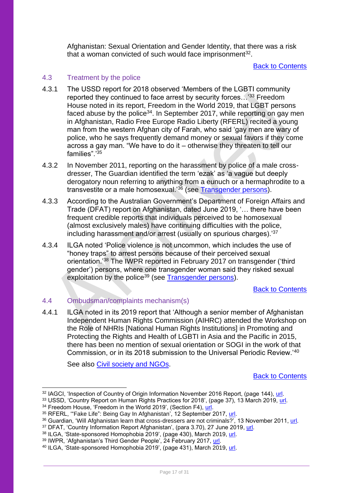Afghanistan: Sexual Orientation and Gender Identity, that there was a risk that a woman convicted of such would face imprisonment $^{32}$ .

#### [Back to Contents](#page-4-0)

### <span id="page-16-0"></span>4.3 Treatment by the police

- 4.3.1 The USSD report for 2018 observed 'Members of the LGBTI community reported they continued to face arrest by security forces...<sup>33</sup> Freedom House noted in its report, Freedom in the World 2019, that LGBT persons faced abuse by the police<sup>34</sup>. In September 2017, while reporting on gay men in Afghanistan, Radio Free Europe Radio Liberty (RFERL) recited a young man from the western Afghan city of Farah, who said 'gay men are wary of police, who he says frequently demand money or sexual favors if they come across a gay man. "We have to do it – otherwise they threaten to tell our families".<sup>'35</sup>
- 4.3.2 In November 2011, reporting on the harassment by police of a male crossdresser, The Guardian identified the term 'ezak' as 'a vague but deeply derogatory noun referring to anything from a eunuch or a hermaphrodite to a transvestite or a male homosexual.'<sup>36</sup> (see [Transgender persons\)](#page-19-1).
- 4.3.3 According to the Australian Government's Department of Foreign Affairs and Trade (DFAT) report on Afghanistan, dated June 2019, '… there have been frequent credible reports that individuals perceived to be homosexual (almost exclusively males) have continuing difficulties with the police, including harassment and/or arrest (usually on spurious charges).'<sup>37</sup>
- 4.3.4 ILGA noted 'Police violence is not uncommon, which includes the use of "honey traps" to arrest persons because of their perceived sexual orientation.'<sup>38</sup> The IWPR reported in February 2017 on transgender ('third gender') persons, where one transgender woman said they risked sexual exploitation by the police<sup>39</sup> (see [Transgender persons\)](#page-19-1).

[Back to Contents](#page-4-0)

#### <span id="page-16-1"></span>4.4 Ombudsman/complaints mechanism(s)

4.4.1 ILGA noted in its 2019 report that 'Although a senior member of Afghanistan Independent Human Rights Commission (AIHRC) attended the Workshop on the Role of NHRIs [National Human Rights Institutions] in Promoting and Protecting the Rights and Health of LGBTI in Asia and the Pacific in 2015, there has been no mention of sexual orientation or SOGI in the work of that Commission, or in its 2018 submission to the Universal Periodic Review.'<sup>40</sup>

See also [Civil society and NGOs.](#page-23-1)

<sup>&</sup>lt;sup>32</sup> IAGCI, 'Inspection of Country of Origin Information November 2016 Report, (page 144), [url.](https://assets.publishing.service.gov.uk/government/uploads/system/uploads/attachment_data/file/614322/Inspection-of-Country-of-Origin-Information_November-2016.pdf)

 $33$  USSD, 'Country Report on Human Rights Practices for 2018', (page 37), 13 March 2019, [url.](https://www.state.gov/wp-content/uploads/2019/03/AFGHANISTAN-2018.pdf)

<sup>&</sup>lt;sup>34</sup> Freedom House, 'Freedom in the World 2019', (Section F4), [url.](https://freedomhouse.org/report/freedom-world/2019/afghanistan)

<sup>35</sup> RFERL, "Fake Life": Being Gay In Afghanistan', 12 September 2017, [url.](https://www.rferl.org/a/afghanistan-being-gay-fake-life/28731934.html)

<sup>36</sup> Guardian, 'Will Afghanistan learn that cross-dressers are not criminals?', 13 November 2011, [url.](http://www.theguardian.com/commentisfree/2011/nov/13/cross-dressing-afghanistan-transvestite)

<sup>&</sup>lt;sup>37</sup> DFAT, 'Country Information Report Afghanistan', (para 3.70), 27 June 2019, [url.](https://dfat.gov.au/about-us/publications/Documents/country-information-report-afghanistan.pdf)

<sup>&</sup>lt;sup>38</sup> ILGA, 'State-sponsored Homophobia 2019', (page 430), March 2019, <u>url</u>.

<sup>&</sup>lt;sup>39</sup> IWPR, 'Afghanistan's Third Gender People', 24 February 2017, [url.](https://iwpr.net/global-voices/afghanistans-third-gender-people)

<sup>40</sup> ILGA, 'State-sponsored Homophobia 2019', (page 431), March 2019, [url.](https://ilga.org/downloads/ILGA_State_Sponsored_Homophobia_2019.pdf)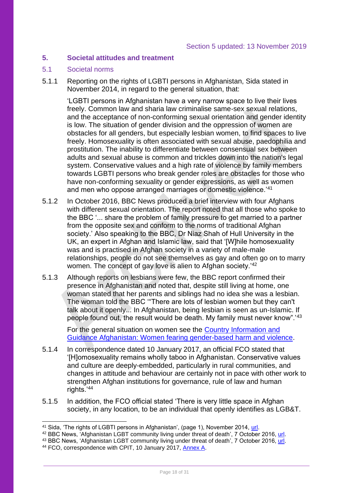#### <span id="page-17-0"></span>**5. Societal attitudes and treatment**

#### <span id="page-17-1"></span>5.1 Societal norms

5.1.1 Reporting on the rights of LGBTI persons in Afghanistan, Sida stated in November 2014, in regard to the general situation, that:

'LGBTI persons in Afghanistan have a very narrow space to live their lives freely. Common law and sharia law criminalise same-sex sexual relations, and the acceptance of non-conforming sexual orientation and gender identity is low. The situation of gender division and the oppression of women are obstacles for all genders, but especially lesbian women, to find spaces to live freely. Homosexuality is often associated with sexual abuse, paedophilia and prostitution. The inability to differentiate between consensual sex between adults and sexual abuse is common and trickles down into the nation's legal system. Conservative values and a high rate of violence by family members towards LGBTI persons who break gender roles are obstacles for those who have non-conforming sexuality or gender expressions, as well as women and men who oppose arranged marriages or domestic violence.'<sup>41</sup>

- 5.1.2 In October 2016, BBC News produced a brief interview with four Afghans with different sexual orientation. The report noted that all those who spoke to the BBC '... share the problem of family pressure to get married to a partner from the opposite sex and conform to the norms of traditional Afghan society.' Also speaking to the BBC, Dr Niaz Shah of Hull University in the UK, an expert in Afghan and Islamic law, said that '[W]hile homosexuality was and is practised in Afghan society in a variety of male-male relationships, people do not see themselves as gay and often go on to marry women. The concept of gay love is alien to Afghan society.<sup>'42</sup>
- 5.1.3 Although reports on lesbians were few, the BBC report confirmed their presence in Afghanistan and noted that, despite still living at home, one woman stated that her parents and siblings had no idea she was a lesbian. The woman told the BBC '"There are lots of lesbian women but they can't talk about it openly... In Afghanistan, being lesbian is seen as un-Islamic. If people found out, the result would be death. My family must never know".'<sup>43</sup>

For the general situation on women see the [Country Information and](https://www.gov.uk/government/publications/afghanistan-country-information-and-guidance)  [Guidance Afghanistan: Women fearing gender-based harm and violence.](https://www.gov.uk/government/publications/afghanistan-country-information-and-guidance)

- 5.1.4 In correspondence dated 10 January 2017, an official FCO stated that '[H]omosexuality remains wholly taboo in Afghanistan. Conservative values and culture are deeply-embedded, particularly in rural communities, and changes in attitude and behaviour are certainly not in pace with other work to strengthen Afghan institutions for governance, rule of law and human rights.'<sup>44</sup>
- 5.1.5 In addition, the FCO official stated 'There is very little space in Afghan society, in any location, to be an individual that openly identifies as LGB&T.

<sup>&</sup>lt;sup>41</sup> Sida, 'The rights of LGBTI persons in Afghanistan', (page 1), November 2014, [url.](https://www.sida.se/globalassets/sida/eng/partners/human-rights-based-approach/lgbti/rights-of-lgbt-persons-afghanistan.pdf)

<sup>&</sup>lt;sup>42</sup> BBC News, 'Afghanistan LGBT community living under threat of death', 7 October 2016, [url.](http://www.bbc.co.uk/news/world-asia-36884732)

<sup>43</sup> BBC News, 'Afghanistan LGBT community living under threat of death', 7 October 2016, [url.](http://www.bbc.co.uk/news/world-asia-36884732)

<sup>44</sup> FCO, correspondence with CPIT, 10 January 2017, [Annex A.](#page-29-0)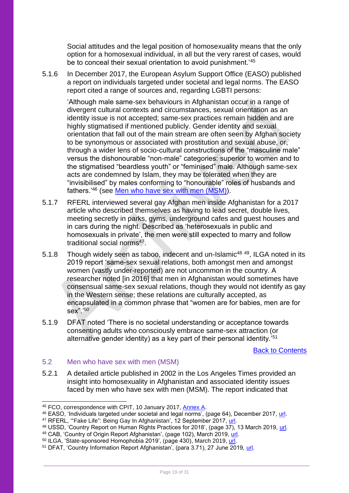Social attitudes and the legal position of homosexuality means that the only option for a homosexual individual, in all but the very rarest of cases, would be to conceal their sexual orientation to avoid punishment.<sup>'45</sup>

5.1.6 In December 2017, the European Asylum Support Office (EASO) published a report on individuals targeted under societal and legal norms. The EASO report cited a range of sources and, regarding LGBTI persons:

'Although male same-sex behaviours in Afghanistan occur in a range of divergent cultural contexts and circumstances, sexual orientation as an identity issue is not accepted; same-sex practices remain hidden and are highly stigmatised if mentioned publicly. Gender identity and sexual orientation that fall out of the main stream are often seen by Afghan society to be synonymous or associated with prostitution and sexual abuse, or, through a wider lens of socio-cultural constructions of the "masculine male" versus the dishonourable "non-male" categories: superior to women and to the stigmatised "beardless youth" or "feminised" male. Although same-sex acts are condemned by Islam, they may be tolerated when they are "invisibilised" by males conforming to "honourable" roles of husbands and fathers.'<sup>46</sup> (see [Men who have sex with men \(MSM\)\)](#page-18-0).

- 5.1.7 RFERL interviewed several gay Afghan men inside Afghanistan for a 2017 article who described themselves as having to lead secret, double lives, meeting secretly in parks, gyms, underground cafes and guest houses and in cars during the night. Described as 'heterosexuals in public and homosexuals in private', the men were still expected to marry and follow traditional social norms<sup>47</sup>.
- 5.1.8 Though widely seen as taboo, indecent and un-Islamic<sup>48 49</sup>, ILGA noted in its 2019 report 'same-sex sexual relations, both amongst men and amongst women (vastly under-reported) are not uncommon in the country. A researcher noted [in 2016] that men in Afghanistan would sometimes have consensual same-sex sexual relations, though they would not identify as gay in the Western sense; these relations are culturally accepted, as encapsulated in a common phrase that "women are for babies, men are for sex".'<sup>50</sup>
- 5.1.9 DFAT noted 'There is no societal understanding or acceptance towards consenting adults who consciously embrace same-sex attraction (or alternative gender identity) as a key part of their personal identity.'<sup>51</sup>

[Back to Contents](#page-4-0)

## <span id="page-18-0"></span>5.2 Men who have sex with men (MSM)

5.2.1 A detailed article published in 2002 in the Los Angeles Times provided an insight into homosexuality in Afghanistan and associated identity issues faced by men who have sex with men (MSM). The report indicated that

<sup>45</sup> FCO, correspondence with CPIT, 10 January 2017, [Annex A.](#page-29-0)

<sup>46</sup> EASO, 'Individuals targeted under societal and legal norms', (page 64), December 2017, [url.](https://coi.easo.europa.eu/administration/easo/PLib/Afghanistan_targeting_society.pdf)

<sup>&</sup>lt;sup>47</sup> RFERL, "Fake Life": Being Gay In Afghanistan', 12 September 2017, [url.](https://www.rferl.org/a/afghanistan-being-gay-fake-life/28731934.html)

<sup>&</sup>lt;sup>48</sup> USSD, 'Country Report on Human Rights Practices for 2018', (page 37), 13 March 2019, <u>url</u>.

<sup>&</sup>lt;sup>49</sup> CAB, 'Country of Origin Report Afghanistan', (page 102), March 2019, <u>url</u>.

<sup>&</sup>lt;sup>50</sup> ILGA, 'State-sponsored Homophobia 2019', (page 430), March 2019, [url.](https://ilga.org/downloads/ILGA_State_Sponsored_Homophobia_2019.pdf)

<sup>&</sup>lt;sup>51</sup> DFAT, 'Country Information Report Afghanistan', (para 3.71), 27 June 2019, [url.](https://dfat.gov.au/about-us/publications/Documents/country-information-report-afghanistan.pdf)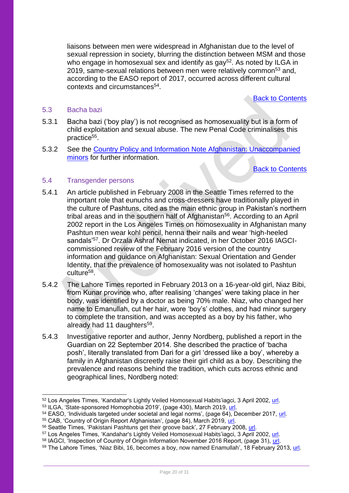liaisons between men were widespread in Afghanistan due to the level of sexual repression in society, blurring the distinction between MSM and those who engage in homosexual sex and identify as gay<sup>52</sup>. As noted by ILGA in 2019, same-sexual relations between men were relatively common<sup>53</sup> and, according to the EASO report of 2017, occurred across different cultural contexts and circumstances<sup>54</sup>.

[Back to Contents](#page-4-0)

#### <span id="page-19-0"></span>5.3 Bacha bazi

- 5.3.1 Bacha bazi ('boy play') is not recognised as homosexuality but is a form of child exploitation and sexual abuse. The new Penal Code criminalises this practice<sup>55</sup>.
- 5.3.2 See the [Country Policy and Information Note Afghanistan: Unaccompanied](https://www.gov.uk/government/publications/afghanistan-country-policy-and-information-notes)  [minors](https://www.gov.uk/government/publications/afghanistan-country-policy-and-information-notes) for further information.

[Back to Contents](#page-4-0) 

### <span id="page-19-1"></span>5.4 Transgender persons

- 5.4.1 An article published in February 2008 in the Seattle Times referred to the important role that eunuchs and cross-dressers have traditionally played in the culture of Pashtuns, cited as the main ethnic group in Pakistan's northern tribal areas and in the southern half of Afghanistan<sup>56</sup>. According to an April 2002 report in the Los Angeles Times on homosexuality in Afghanistan many Pashtun men wear kohl pencil, henna their nails and wear 'high-heeled sandals'57. Dr Orzala Ashraf Nemat indicated, in her October 2016 IAGCIcommissioned review of the February 2016 version of the country information and guidance on Afghanistan: Sexual Orientation and Gender Identity, that the prevalence of homosexuality was not isolated to Pashtun culture<sup>58</sup>.
- 5.4.2 The Lahore Times reported in February 2013 on a 16-year-old girl, Niaz Bibi, from Kunar province who, after realising 'changes' were taking place in her body, was identified by a doctor as being 70% male. Niaz, who changed her name to Emanullah, cut her hair, wore 'boy's' clothes, and had minor surgery to complete the transition, and was accepted as a boy by his father, who already had 11 daughters<sup>59</sup>.
- 5.4.3 Investigative reporter and author, Jenny Nordberg, published a report in the Guardian on 22 September 2014. She described the practice of 'bacha posh', literally translated from Dari for a girl 'dressed like a boy', whereby a family in Afghanistan discreetly raise their girl child as a boy. Describing the prevalence and reasons behind the tradition, which cuts across ethnic and geographical lines, Nordberg noted:

<sup>52</sup> Los Angeles Times, 'Kandahar's Lightly Veiled Homosexual Habits'iagci, 3 April 2002, [url.](http://articles.latimes.com/2002/apr/03/news/mn-35991)

<sup>53</sup> ILGA, 'State-sponsored Homophobia 2019', (page 430), March 2019, [url.](https://ilga.org/downloads/ILGA_State_Sponsored_Homophobia_2019.pdf)

<sup>54</sup> EASO, 'Individuals targeted under societal and legal norms', (page 64), December 2017, [url.](https://coi.easo.europa.eu/administration/easo/PLib/Afghanistan_targeting_society.pdf)

<sup>55</sup> CAB, 'Country of Origin Report Afghanistan', (page 84), March 2019, [url.](https://www.rijksoverheid.nl/documenten/ambtsberichten/2019/03/01/algemeen-ambtsbericht-afghanistan)

<sup>56</sup> Seattle Times, 'Pakistani Pashtuns get their groove back', 27 February 2008, [url.](http://www.seattletimes.com/nation-world/pakistani-pashtuns-get-their-groove-back-8212-cross-dressing-artists/)

<sup>57</sup> Los Angeles Times, 'Kandahar's Lightly Veiled Homosexual Habits'iagci, 3 April 2002, [url.](http://articles.latimes.com/2002/apr/03/news/mn-35991)

<sup>58</sup> IAGCI, 'Inspection of Country of Origin Information November 2016 Report, (page 31), [url.](https://assets.publishing.service.gov.uk/government/uploads/system/uploads/attachment_data/file/614322/Inspection-of-Country-of-Origin-Information_November-2016.pdf)

 $59$  The Lahore Times, 'Niaz Bibi, 16, becomes a boy, now named Enamullah', 18 February 2013, [url.](http://www.lhrtimes.com/2013/02/18/sixteen-years-old-girl-become-a-boy-in-afghanistan/)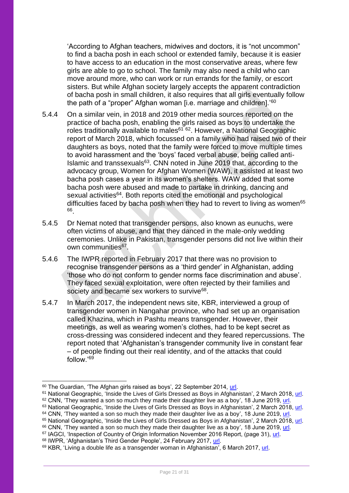'According to Afghan teachers, midwives and doctors, it is "not uncommon" to find a bacha posh in each school or extended family, because it is easier to have access to an education in the most conservative areas, where few girls are able to go to school. The family may also need a child who can move around more, who can work or run errands for the family, or escort sisters. But while Afghan society largely accepts the apparent contradiction of bacha posh in small children, it also requires that all girls eventually follow the path of a "proper" Afghan woman [i.e. marriage and children].<sup>'60</sup>

- 5.4.4 On a similar vein, in 2018 and 2019 other media sources reported on the practice of bacha posh, enabling the girls raised as boys to undertake the roles traditionally available to males<sup>61 62</sup>. However, a National Geographic report of March 2018, which focussed on a family who had raised two of their daughters as boys, noted that the family were forced to move multiple times to avoid harassment and the 'boys' faced verbal abuse, being called anti-Islamic and transsexuals $63$ . CNN noted in June 2019 that, according to the advocacy group, Women for Afghan Women (WAW), it assisted at least two bacha posh cases a year in its women's shelters. WAW added that some bacha posh were abused and made to partake in drinking, dancing and sexual activities<sup>64</sup>. Both reports cited the emotional and psychological difficulties faced by bacha posh when they had to revert to living as women<sup>65</sup> 66 .
- 5.4.5 Dr Nemat noted that transgender persons, also known as eunuchs, were often victims of abuse, and that they danced in the male-only wedding ceremonies. Unlike in Pakistan, transgender persons did not live within their own communities<sup>67</sup>.
- 5.4.6 The IWPR reported in February 2017 that there was no provision to recognise transgender persons as a 'third gender' in Afghanistan, adding 'those who do not conform to gender norms face discrimination and abuse'. They faced sexual exploitation, were often rejected by their families and society and became sex workers to survive<sup>68</sup>.
- 5.4.7 In March 2017, the independent news site, KBR, interviewed a group of transgender women in Nangahar province, who had set up an organisation called Khazina, which in Pashtu means transgender. However, their meetings, as well as wearing women's clothes, had to be kept secret as cross-dressing was considered indecent and they feared repercussions. The report noted that 'Afghanistan's transgender community live in constant fear – of people finding out their real identity, and of the attacks that could follow<sup>'69</sup>

<sup>60</sup> The Guardian, 'The Afghan girls raised as boys', 22 September 2014, [url.](http://www.theguardian.com/lifeandstyle/2014/sep/22/girls-boys-afghanistan-daughters-raised-as-sons-puberty-bacha-posh)

<sup>&</sup>lt;sup>61</sup> National Geographic, 'Inside the Lives of Girls Dressed as Boys in Afghanistan', 2 March 2018, [url.](https://www.nationalgeographic.com/photography/proof/2018/march/bacha-posh-gender-afghanistan/)

 $62$  CNN, 'They wanted a son so much they made their daughter live as a boy', 18 June 2019, [url.](https://edition.cnn.com/2019/06/18/world/bacha-posh-afghanistan-as-equals-intl/index.html)

 $63$  National Geographic, 'Inside the Lives of Girls Dressed as Boys in Afghanistan', 2 March 2018, [url.](https://www.nationalgeographic.com/photography/proof/2018/march/bacha-posh-gender-afghanistan/)  $64$  CNN, 'They wanted a son so much they made their daughter live as a boy', 18 June 2019, [url.](https://edition.cnn.com/2019/06/18/world/bacha-posh-afghanistan-as-equals-intl/index.html)

<sup>65</sup> National Geographic, 'Inside the Lives of Girls Dressed as Boys in Afghanistan', 2 March 2018, [url.](https://www.nationalgeographic.com/photography/proof/2018/march/bacha-posh-gender-afghanistan/)

<sup>66</sup> CNN, 'They wanted a son so much they made their daughter live as a boy', 18 June 2019, [url.](https://edition.cnn.com/2019/06/18/world/bacha-posh-afghanistan-as-equals-intl/index.html)

<sup>&</sup>lt;sup>67</sup> IAGCI, 'Inspection of Country of Origin Information November 2016 Report, (page 31), [url.](https://assets.publishing.service.gov.uk/government/uploads/system/uploads/attachment_data/file/614322/Inspection-of-Country-of-Origin-Information_November-2016.pdf)

<sup>68</sup> IWPR, 'Afghanistan's Third Gender People', 24 February 2017, [url.](https://iwpr.net/global-voices/afghanistans-third-gender-people)

<sup>69</sup> KBR, 'Living a double life as a transgender woman in Afghanistan', 6 March 2017, [url.](https://kbr.id/english/03-2017/living_a_double_life_as_a_transgender_woman_in_afghanistan_/89024.html)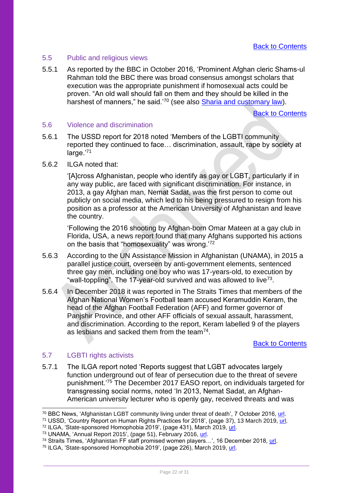#### <span id="page-21-0"></span>5.5 Public and religious views

5.5.1 As reported by the BBC in October 2016, 'Prominent Afghan cleric Shams-ul Rahman told the BBC there was broad consensus amongst scholars that execution was the appropriate punishment if homosexual acts could be proven. "An old wall should fall on them and they should be killed in the harshest of manners," he said.'<sup>70</sup> (see also **Sharia and customary law)**.

[Back to Contents](#page-4-0)

#### <span id="page-21-1"></span>5.6 Violence and discrimination

5.6.1 The USSD report for 2018 noted 'Members of the LGBTI community reported they continued to face... discrimination, assault, rape by society at large.'71

#### 5.6.2 ILGA noted that:

'[A]cross Afghanistan, people who identify as gay or LGBT, particularly if in any way public, are faced with significant discrimination. For instance, in 2013, a gay Afghan man, Nemat Sadat, was the first person to come out publicly on social media, which led to his being pressured to resign from his position as a professor at the American University of Afghanistan and leave the country.

'Following the 2016 shooting by Afghan-born Omar Mateen at a gay club in Florida, USA, a news report found that many Afghans supported his actions on the basis that "homosexuality" was wrong.'<sup>72</sup>

- 5.6.3 According to the UN Assistance Mission in Afghanistan (UNAMA), in 2015 a parallel justice court, overseen by anti-government elements, sentenced three gay men, including one boy who was 17-years-old, to execution by "wall-toppling". The 17-year-old survived and was allowed to live<sup>73</sup>.
- 5.6.4 In December 2018 it was reported in The Straits Times that members of the Afghan National Women's Football team accused Keramuddin Keram, the head of the Afghan Football Federation (AFF) and former governor of Panjshir Province, and other AFF officials of sexual assault, harassment, and discrimination. According to the report, Keram labelled 9 of the players as lesbians and sacked them from the team<sup>74</sup>.

#### [Back to Contents](#page-4-0)

#### <span id="page-21-2"></span>5.7 LGBTI rights activists

5.7.1 The ILGA report noted 'Reports suggest that LGBT advocates largely function underground out of fear of persecution due to the threat of severe punishment.'<sup>75</sup> The December 2017 EASO report, on individuals targeted for transgressing social norms, noted 'In 2013, Nemat Sadat, an Afghan-American university lecturer who is openly gay, received threats and was

<sup>&</sup>lt;sup>70</sup> BBC News, 'Afghanistan LGBT community living under threat of death', 7 October 2016, [url.](http://www.bbc.co.uk/news/world-asia-36884732)

<sup>&</sup>lt;sup>71</sup> USSD, 'Country Report on Human Rights Practices for 2018', (page 37), 13 March 2019, [url.](https://www.state.gov/wp-content/uploads/2019/03/AFGHANISTAN-2018.pdf)

<sup>&</sup>lt;sup>72</sup> ILGA, 'State-sponsored Homophobia 2019', (page 431), March 2019, <u>url</u>.

<sup>&</sup>lt;sup>73</sup> UNAMA, 'Annual Report 2015', (page 51), February 2016, [url.](https://unama.unmissions.org/sites/default/files/poc_annual_report_2015_final_14_feb_2016.pdf)

<sup>74</sup> Straits Times, 'Afghanistan FF staff promised women players…', 16 December 2018, [url.](https://www.straitstimes.com/sport/football/afghanistan-ff-staff-promised-women-players-spots-on-team-in-exchange-for-sex)

<sup>75</sup> ILGA, 'State-sponsored Homophobia 2019', (page 226), March 2019, [url.](https://ilga.org/downloads/ILGA_State_Sponsored_Homophobia_2019.pdf)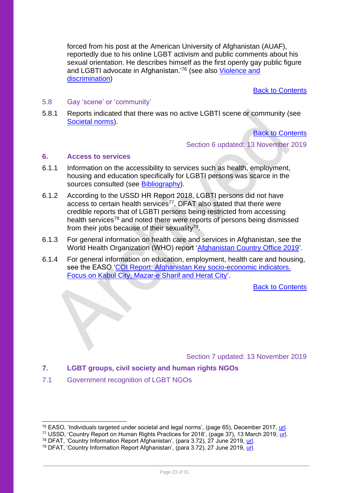forced from his post at the American University of Afghanistan (AUAF), reportedly due to his online LGBT activism and public comments about his sexual orientation. He describes himself as the first openly gay public figure and LGBTI advocate in Afghanistan.'<sup>76</sup> (see also [Violence and](#page-21-1)  [discrimination\)](#page-21-1)

[Back to Contents](#page-4-0)

#### <span id="page-22-0"></span>5.8 Gay 'scene' or 'community'

5.8.1 Reports indicated that there was no active LGBTI scene or community (see [Societal norms\)](#page-17-1).

[Back to Contents](#page-4-0)

Section 6 updated: 13 November 2019

#### <span id="page-22-1"></span>**6. Access to services**

- 6.1.1 Information on the accessibility to services such as health, employment, housing and education specifically for LGBTI persons was scarce in the sources consulted (see [Bibliography\)](#page-24-1).
- 6.1.2 According to the USSD HR Report 2018, LGBTI persons did not have access to certain health services<sup>77</sup>. DFAT also stated that there were credible reports that of LGBTI persons being restricted from accessing health services<sup>78</sup> and noted there were reports of persons being dismissed from their jobs because of their sexuality<sup>79</sup>.
- 6.1.3 For general information on health care and services in Afghanistan, see the World Health Organization (WHO) report ['Afghanistan Country Office 2019'](http://www.emro.who.int/images/stories/afghanistan/WHO_at_a_Glance_2019_Feb.pdf?ua=1).
- 6.1.4 For general information on education, employment, health care and housing, see the EASO 'COI Report: Afghanistan Key socio-economic indicators. [Focus on Kabul City, Mazar-e Sharif and Herat City'](https://coi.easo.europa.eu/administration/easo/PLib/EASO_COI_Afghanistan_KSEI_April_2019.pdf).

[Back to Contents](#page-4-0)

Section 7 updated: 13 November 2019

#### <span id="page-22-2"></span>**7. LGBT groups, civil society and human rights NGOs**

<span id="page-22-3"></span>7.1 Government recognition of LGBT NGOs

<sup>76</sup> EASO, 'Individuals targeted under societal and legal norms', (page 65), December 2017, [url.](https://coi.easo.europa.eu/administration/easo/PLib/Afghanistan_targeting_society.pdf)

<sup>&</sup>lt;sup>77</sup> USSD, 'Country Report on Human Rights Practices for 2018', (page 37), 13 March 2019, [url.](https://www.state.gov/wp-content/uploads/2019/03/AFGHANISTAN-2018.pdf)

<sup>&</sup>lt;sup>78</sup> DFAT, 'Country Information Report Afghanistan', (para 3.72), 27 June 2019, [url.](https://dfat.gov.au/about-us/publications/Documents/country-information-report-afghanistan.pdf)

<sup>&</sup>lt;sup>79</sup> DFAT, 'Country Information Report Afghanistan', (para 3.72), 27 June 2019, [url.](https://dfat.gov.au/about-us/publications/Documents/country-information-report-afghanistan.pdf)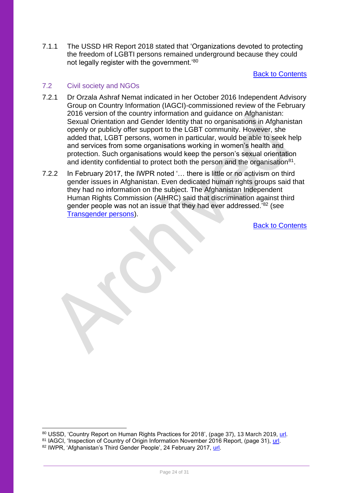7.1.1 The USSD HR Report 2018 stated that 'Organizations devoted to protecting the freedom of LGBTI persons remained underground because they could not legally register with the government.'<sup>80</sup>

[Back to Contents](#page-4-0)

#### <span id="page-23-1"></span>7.2 Civil society and NGOs

- 7.2.1 Dr Orzala Ashraf Nemat indicated in her October 2016 Independent Advisory Group on Country Information (IAGCI)-commissioned review of the February 2016 version of the country information and guidance on Afghanistan: Sexual Orientation and Gender Identity that no organisations in Afghanistan openly or publicly offer support to the LGBT community. However, she added that, LGBT persons, women in particular, would be able to seek help and services from some organisations working in women's health and protection. Such organisations would keep the person's sexual orientation and identity confidential to protect both the person and the organisation $81$ .
- <span id="page-23-0"></span>7.2.2 In February 2017, the IWPR noted '… there is little or no activism on third gender issues in Afghanistan. Even dedicated human rights groups said that they had no information on the subject. The Afghanistan Independent Human Rights Commission (AIHRC) said that discrimination against third gender people was not an issue that they had ever addressed.'<sup>82</sup> (see [Transgender persons\)](#page-19-1).

<sup>80</sup> USSD, 'Country Report on Human Rights Practices for 2018', (page 37), 13 March 2019, [url.](https://www.state.gov/wp-content/uploads/2019/03/AFGHANISTAN-2018.pdf)

<sup>81</sup> IAGCI, 'Inspection of Country of Origin Information November 2016 Report, (page 31), [url.](https://assets.publishing.service.gov.uk/government/uploads/system/uploads/attachment_data/file/614322/Inspection-of-Country-of-Origin-Information_November-2016.pdf)

<sup>82</sup> IWPR, 'Afghanistan's Third Gender People', 24 February 2017, [url.](https://iwpr.net/global-voices/afghanistans-third-gender-people)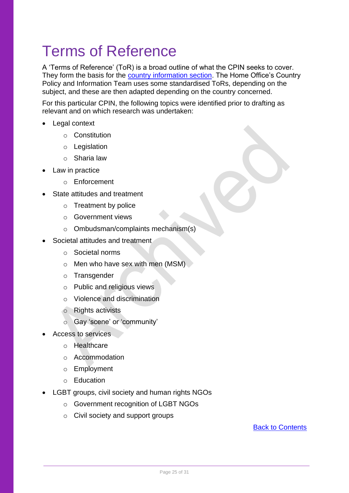# <span id="page-24-0"></span>Terms of Reference

A 'Terms of Reference' (ToR) is a broad outline of what the CPIN seeks to cover. They form the basis for the [country information section.](#page-11-1) The Home Office's Country Policy and Information Team uses some standardised ToRs, depending on the subject, and these are then adapted depending on the country concerned.

For this particular CPIN, the following topics were identified prior to drafting as relevant and on which research was undertaken:

- Legal context
	- o Constitution
	- o Legislation
	- o Sharia law
- Law in practice
	- o Enforcement
- State attitudes and treatment
	- o Treatment by police
	- o Government views
	- o Ombudsman/complaints mechanism(s)
- Societal attitudes and treatment
	- o Societal norms
	- o Men who have sex with men (MSM)
	- o Transgender
	- o Public and religious views
	- o Violence and discrimination
	- o Rights activists
	- o Gay 'scene' or 'community'
- Access to services
	- o Healthcare
	- o Accommodation
	- o Employment
	- o Education
- <span id="page-24-1"></span>• LGBT groups, civil society and human rights NGOs
	- o Government recognition of LGBT NGOs
	- o Civil society and support groups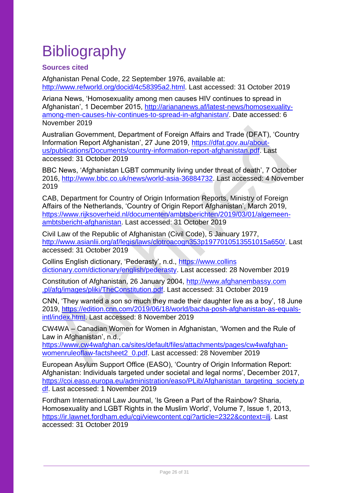# <span id="page-25-0"></span>**Bibliography**

## <span id="page-25-1"></span>**Sources cited**

Afghanistan Penal Code, 22 September 1976, available at: [http://www.refworld.org/docid/4c58395a2.html.](http://www.refworld.org/docid/4c58395a2.html) Last accessed: 31 October 2019

Ariana News, 'Homosexuality among men causes HIV continues to spread in Afghanistan', 1 December 2015, [http://ariananews.af/latest-news/homosexuality](http://ariananews.af/latest-news/homosexuality-among-men-causes-hiv-continues-to-spread-in-afghanistan/)[among-men-causes-hiv-continues-to-spread-in-afghanistan/.](http://ariananews.af/latest-news/homosexuality-among-men-causes-hiv-continues-to-spread-in-afghanistan/) Date accessed: 6 November 2019

Australian Government, Department of Foreign Affairs and Trade (DFAT), 'Country Information Report Afghanistan', 27 June 2019, [https://dfat.gov.au/about](https://dfat.gov.au/about-us/publications/Documents/country-information-report-afghanistan.pdf)[us/publications/Documents/country-information-report-afghanistan.pdf.](https://dfat.gov.au/about-us/publications/Documents/country-information-report-afghanistan.pdf) Last accessed: 31 October 2019

BBC News, 'Afghanistan LGBT community living under threat of death', 7 October 2016, [http://www.bbc.co.uk/news/world-asia-36884732.](http://www.bbc.co.uk/news/world-asia-36884732) Last accessed: 4 November 2019

CAB, Department for Country of Origin Information Reports, Ministry of Foreign Affairs of the Netherlands, 'Country of Origin Report Afghanistan', March 2019, [https://www.rijksoverheid.nl/documenten/ambtsberichten/2019/03/01/algemeen](https://www.rijksoverheid.nl/documenten/ambtsberichten/2019/03/01/algemeen-ambtsbericht-afghanistan)[ambtsbericht-afghanistan.](https://www.rijksoverheid.nl/documenten/ambtsberichten/2019/03/01/algemeen-ambtsbericht-afghanistan) Last accessed: 31 October 2019

Civil Law of the Republic of Afghanistan (Civil Code), 5 January 1977, [http://www.asianlii.org/af/legis/laws/clotroacogn353p1977010513551015a650/.](http://www.asianlii.org/af/legis/laws/clotroacogn353p1977010513551015a650/) Last accessed: 31 October 2019

Collins English dictionary, 'Pederasty', n.d., [https://www.collins](https://www.collinsdictionary.com/dictionary/english/pederasty) [dictionary.com/dictionary/english/pederasty.](https://www.collinsdictionary.com/dictionary/english/pederasty) Last accessed: 28 November 2019

Constitution of Afghanistan, 26 January 2004, [http://www.afghanembassy.com](http://www.afghanembassy.com.pl/afg/images/pliki/TheConstitution.pdf) [.pl/afg/images/pliki/TheConstitution.pdf.](http://www.afghanembassy.com.pl/afg/images/pliki/TheConstitution.pdf) Last accessed: 31 October 2019

CNN, 'They wanted a son so much they made their daughter live as a boy', 18 June 2019, [https://edition.cnn.com/2019/06/18/world/bacha-posh-afghanistan-as-equals](https://edition.cnn.com/2019/06/18/world/bacha-posh-afghanistan-as-equals-intl/index.html)[intl/index.html.](https://edition.cnn.com/2019/06/18/world/bacha-posh-afghanistan-as-equals-intl/index.html) Last accessed: 8 November 2019

CW4WA – Canadian Women for Women in Afghanistan, 'Women and the Rule of Law in Afghanistan', n.d.,

[https://www.cw4wafghan.ca/sites/default/files/attachments/pages/cw4wafghan](https://www.cw4wafghan.ca/sites/default/files/attachments/pages/cw4wafghan-womenruleoflaw-factsheet2_0.pdf)[womenruleoflaw-factsheet2\\_0.pdf.](https://www.cw4wafghan.ca/sites/default/files/attachments/pages/cw4wafghan-womenruleoflaw-factsheet2_0.pdf) Last accessed: 28 November 2019

European Asylum Support Office (EASO), 'Country of Origin Information Report: Afghanistan: Individuals targeted under societal and legal norms', December 2017, [https://coi.easo.europa.eu/administration/easo/PLib/Afghanistan\\_targeting\\_society.p](https://coi.easo.europa.eu/administration/easo/PLib/Afghanistan_targeting_society.pdf) [df.](https://coi.easo.europa.eu/administration/easo/PLib/Afghanistan_targeting_society.pdf) Last accessed: 1 November 2019

Fordham International Law Journal, 'Is Green a Part of the Rainbow? Sharia, Homosexuality and LGBT Rights in the Muslim World', Volume 7, Issue 1, 2013, [https://ir.lawnet.fordham.edu/cgi/viewcontent.cgi?article=2322&context=ilj.](https://ir.lawnet.fordham.edu/cgi/viewcontent.cgi?article=2322&context=ilj) Last accessed: 31 October 2019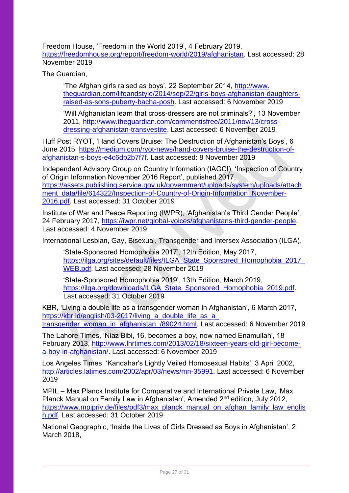Freedom House, 'Freedom in the World 2019', 4 February 2019, [https://freedomhouse.org/report/freedom-world/2019/afghanistan.](https://freedomhouse.org/report/freedom-world/2019/afghanistan) Last accessed: 28 November 2019

The Guardian,

'The Afghan girls raised as boys', 22 September 2014, [http://www.](http://www.theguardian.com/lifeandstyle/2014/sep/22/girls-boys-afghanistan-daughters-raised-as-sons-puberty-bacha-posh) [theguardian.com/lifeandstyle/2014/sep/22/girls-boys-afghanistan-daughters](http://www.theguardian.com/lifeandstyle/2014/sep/22/girls-boys-afghanistan-daughters-raised-as-sons-puberty-bacha-posh)[raised-as-sons-puberty-bacha-posh.](http://www.theguardian.com/lifeandstyle/2014/sep/22/girls-boys-afghanistan-daughters-raised-as-sons-puberty-bacha-posh) Last accessed: 6 November 2019

'Will Afghanistan learn that cross-dressers are not criminals?', 13 November 2011, [http://www.theguardian.com/commentisfree/2011/nov/13/cross](http://www.theguardian.com/commentisfree/2011/nov/13/cross-dressing-afghanistan-transvestite)[dressing-afghanistan-transvestite.](http://www.theguardian.com/commentisfree/2011/nov/13/cross-dressing-afghanistan-transvestite) Last accessed: 6 November 2019

Huff Post RYOT, 'Hand Covers Bruise: The Destruction of Afghanistan's Boys', 6 June 2015, [https://medium.com/ryot-news/hand-covers-bruise-the-destruction-of](https://medium.com/ryot-news/hand-covers-bruise-the-destruction-of-afghanistan-s-boys-e4c6db2b7f7f)[afghanistan-s-boys-e4c6db2b7f7f.](https://medium.com/ryot-news/hand-covers-bruise-the-destruction-of-afghanistan-s-boys-e4c6db2b7f7f) Last accessed: 8 November 2019

Independent Advisory Group on Country Information (IAGCI), 'Inspection of Country of Origin Information November 2016 Report', published 2017, [https://assets.publishing.service.gov.uk/government/uploads/system/uploads/attach](https://assets.publishing.service.gov.uk/government/uploads/system/uploads/attachment_data/file/614322/Inspection-of-Country-of-Origin-Information_November-2016.pdf) [ment\\_data/file/614322/Inspection-of-Country-of-Origin-Information\\_November-](https://assets.publishing.service.gov.uk/government/uploads/system/uploads/attachment_data/file/614322/Inspection-of-Country-of-Origin-Information_November-2016.pdf)[2016.pdf.](https://assets.publishing.service.gov.uk/government/uploads/system/uploads/attachment_data/file/614322/Inspection-of-Country-of-Origin-Information_November-2016.pdf) Last accessed: 31 October 2019

Institute of War and Peace Reporting (IWPR), 'Afghanistan's Third Gender People', 24 February 2017, [https://iwpr.net/global-voices/afghanistans-third-gender-people.](https://iwpr.net/global-voices/afghanistans-third-gender-people) Last accessed: 4 November 2019

International Lesbian, Gay, Bisexual, Transgender and Intersex Association (ILGA),

'State-Sponsored Homophobia 2017', 12th Edition, May 2017, https://ilga.org/sites/default/files/ILGA\_State\_Sponsored\_Homophobia\_2017 [WEB.pdf.](https://ilga.org/sites/default/files/ILGA_State_Sponsored_Homophobia_2017_WEB.pdf) Last accessed: 28 November 2019

'State-Sponsored Homophobia 2019', 13th Edition, March 2019, [https://ilga.org/downloads/ILGA\\_State\\_Sponsored\\_Homophobia\\_2019.pdf.](https://ilga.org/downloads/ILGA_State_Sponsored_Homophobia_2019.pdf) Last accessed: 31 October 2019

KBR, 'Living a double life as a transgender woman in Afghanistan', 6 March 2017, [https://kbr.id/english/03-2017/living\\_a\\_double\\_life\\_as\\_a\\_](https://kbr.id/english/03-2017/living_a_double_life_as_a_‌transgender_woman_in_afghanistan_/89024.html) [transgender\\_woman\\_in\\_afghanistan\\_/89024.html.](https://kbr.id/english/03-2017/living_a_double_life_as_a_‌transgender_woman_in_afghanistan_/89024.html) Last accessed: 6 November 2019

The Lahore Times, 'Niaz Bibi, 16, becomes a boy, now named Enamullah', 18 February 2013, [http://www.lhrtimes.com/2013/02/18/sixteen-years-old-girl-become](http://www.lhrtimes.com/2013/02/18/sixteen-years-old-girl-become-a-boy-in-afghanistan/)[a-boy-in-afghanistan/.](http://www.lhrtimes.com/2013/02/18/sixteen-years-old-girl-become-a-boy-in-afghanistan/) Last accessed: 6 November 2019

Los Angeles Times, 'Kandahar's Lightly Veiled Homosexual Habits', 3 April 2002, [http://articles.latimes.com/2002/apr/03/news/mn-35991.](http://articles.latimes.com/2002/apr/03/news/mn-35991) Last accessed: 6 November 2019

MPIL – Max Planck Institute for Comparative and International Private Law, 'Max Planck Manual on Family Law in Afghanistan', Amended 2nd edition, July 2012, [https://www.mpipriv.de/files/pdf3/max\\_planck\\_manual\\_on\\_afghan\\_family\\_law\\_englis](https://www.mpipriv.de/files/pdf3/max_planck_manual_on_afghan_family_law_english.pdf) [h.pdf.](https://www.mpipriv.de/files/pdf3/max_planck_manual_on_afghan_family_law_english.pdf) Last accessed: 31 October 2019

National Geographic, 'Inside the Lives of Girls Dressed as Boys in Afghanistan', 2 March 2018,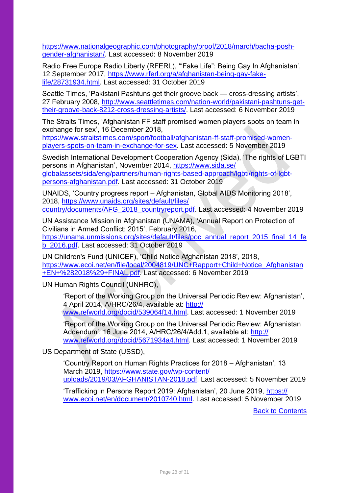[https://www.nationalgeographic.com/photography/proof/2018/march/bacha-posh](https://www.nationalgeographic.com/photography/proof/2018/march/bacha-posh-gender-afghanistan/)[gender-afghanistan/.](https://www.nationalgeographic.com/photography/proof/2018/march/bacha-posh-gender-afghanistan/) Last accessed: 8 November 2019

Radio Free Europe Radio Liberty (RFERL), '"Fake Life": Being Gay In Afghanistan', 12 September 2017, [https://www.rferl.org/a/afghanistan-being-gay-fake](https://www.rferl.org/a/afghanistan-being-gay-fake-life/28731934.html)[life/28731934.html.](https://www.rferl.org/a/afghanistan-being-gay-fake-life/28731934.html) Last accessed: 31 October 2019

Seattle Times, 'Pakistani Pashtuns get their groove back — cross-dressing artists', 27 February 2008, [http://www.seattletimes.com/nation-world/pakistani-pashtuns-get](http://www.seattletimes.com/nation-world/pakistani-pashtuns-get-their-groove-back-8212-cross-dressing-artists/)[their-groove-back-8212-cross-dressing-artists/.](http://www.seattletimes.com/nation-world/pakistani-pashtuns-get-their-groove-back-8212-cross-dressing-artists/) Last accessed: 6 November 2019

The Straits Times, 'Afghanistan FF staff promised women players spots on team in exchange for sex', 16 December 2018,

[https://www.straitstimes.com/sport/football/afghanistan-ff-staff-promised-women](https://www.straitstimes.com/sport/football/afghanistan-ff-staff-promised-women-players-spots-on-team-in-exchange-for-sex)[players-spots-on-team-in-exchange-for-sex.](https://www.straitstimes.com/sport/football/afghanistan-ff-staff-promised-women-players-spots-on-team-in-exchange-for-sex) Last accessed: 5 November 2019

Swedish International Development Cooperation Agency (Sida), 'The rights of LGBTI persons in Afghanistan', November 2014, [https://www.sida.se/](https://www.sida.se/‌globalassets/sida/eng/partners/human-rights-based-approach/lgbti/rights-of-lgbt-persons-afghanistan.pdf) [globalassets/sida/eng/partners/human-rights-based-approach/lgbti/rights-of-lgbt](https://www.sida.se/‌globalassets/sida/eng/partners/human-rights-based-approach/lgbti/rights-of-lgbt-persons-afghanistan.pdf)[persons-afghanistan.pdf.](https://www.sida.se/‌globalassets/sida/eng/partners/human-rights-based-approach/lgbti/rights-of-lgbt-persons-afghanistan.pdf) Last accessed: 31 October 2019

UNAIDS, 'Country progress report – Afghanistan, Global AIDS Monitoring 2018', 2018, [https://www.unaids.org/sites/default/files/](https://www.unaids.org/sites/default/files/‌country/documents/AFG_2018_countryreport.pdf) [country/documents/AFG\\_2018\\_countryreport.pdf.](https://www.unaids.org/sites/default/files/‌country/documents/AFG_2018_countryreport.pdf) Last accessed: 4 November 2019

UN Assistance Mission in Afghanistan (UNAMA), 'Annual Report on Protection of Civilians in Armed Conflict: 2015', February 2016, [https://unama.unmissions.org/sites/default/files/poc\\_annual\\_report\\_2015\\_final\\_14\\_fe](https://unama.unmissions.org/sites/default/files/poc_annual_report_2015_final_14_feb_2016.pdf) [b\\_2016.pdf.](https://unama.unmissions.org/sites/default/files/poc_annual_report_2015_final_14_feb_2016.pdf) Last accessed: 31 October 2019

UN Children's Fund (UNICEF), 'Child Notice Afghanistan 2018', 2018, [https://www.ecoi.net/en/file/local/2004819/UNC+Rapport+Child+Notice\\_Afghanistan](https://www.ecoi.net/en/file/local/2004819/UNC+Rapport+Child+Notice_Afghanistan+EN+%282018%29+FINAL.pdf) [+EN+%282018%29+FINAL.pdf.](https://www.ecoi.net/en/file/local/2004819/UNC+Rapport+Child+Notice_Afghanistan+EN+%282018%29+FINAL.pdf) Last accessed: 6 November 2019

UN Human Rights Council (UNHRC),

'Report of the Working Group on the Universal Periodic Review: Afghanistan', 4 April 2014, A/HRC/26/4, available at: [http://](http://www.refworld.org/docid/539064f14.html) [www.refworld.org/docid/539064f14.html.](http://www.refworld.org/docid/539064f14.html) Last accessed: 1 November 2019

'Report of the Working Group on the Universal Periodic Review: Afghanistan Addendum', 16 June 2014, A/HRC/26/4/Add.1, available at: [http://](http://www.refworld.org/docid/5671934a4.html) [www.refworld.org/docid/5671934a4.html.](http://www.refworld.org/docid/5671934a4.html) Last accessed: 1 November 2019

US Department of State (USSD),

'Country Report on Human Rights Practices for 2018 – Afghanistan', 13 March 2019, [https://www.state.gov/wp-content/](https://www.state.gov/wp-content/‌uploads/2019/03/AFGHANISTAN-2018.pdf) [uploads/2019/03/AFGHANISTAN-2018.pdf.](https://www.state.gov/wp-content/‌uploads/2019/03/AFGHANISTAN-2018.pdf) Last accessed: 5 November 2019

'Trafficking in Persons Report 2019: Afghanistan', 20 June 2019, [https://](https://www.ecoi.net/en/document/2010740.html) [www.ecoi.net/en/document/2010740.html.](https://www.ecoi.net/en/document/2010740.html) Last accessed: 5 November 2019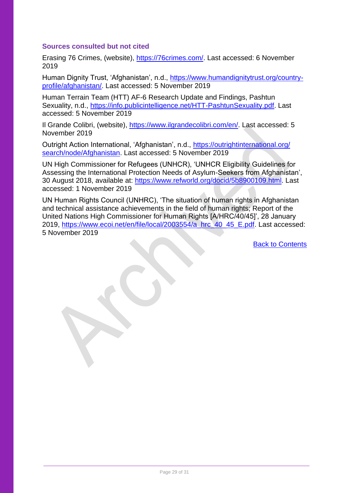#### <span id="page-28-0"></span>**Sources consulted but not cited**

Erasing 76 Crimes, (website), [https://76crimes.com/.](https://76crimes.com/) Last accessed: 6 November 2019

Human Dignity Trust, 'Afghanistan', n.d., [https://www.humandignitytrust.org/country](https://www.humandignitytrust.org/country-profile/afghanistan/)[profile/afghanistan/.](https://www.humandignitytrust.org/country-profile/afghanistan/) Last accessed: 5 November 2019

Human Terrain Team (HTT) AF-6 Research Update and Findings, Pashtun Sexuality, n.d., [https://info.publicintelligence.net/HTT-PashtunSexuality.pdf.](https://info.publicintelligence.net/HTT-PashtunSexuality.pdf) Last accessed: 5 November 2019

Il Grande Colibri, (website), [https://www.ilgrandecolibri.com/en/.](https://www.ilgrandecolibri.com/en/) Last accessed: 5 November 2019

Outright Action International, 'Afghanistan', n.d., [https://outrightinternational.org/](https://outrightinternational.org/‌search/node/Afghanistan) [search/node/Afghanistan.](https://outrightinternational.org/‌search/node/Afghanistan) Last accessed: 5 November 2019

UN High Commissioner for Refugees (UNHCR), 'UNHCR Eligibility Guidelines for Assessing the International Protection Needs of Asylum-Seekers from Afghanistan', 30 August 2018, available at: [https://www.refworld.org/docid/5b8900109.html.](https://www.refworld.org/docid/5b8900109.html) Last accessed: 1 November 2019

UN Human Rights Council (UNHRC), 'The situation of human rights in Afghanistan and technical assistance achievements in the field of human rights; Report of the United Nations High Commissioner for Human Rights [A/HRC/40/45]', 28 January 2019, [https://www.ecoi.net/en/file/local/2003554/a\\_hrc\\_40\\_45\\_E.pdf.](https://www.ecoi.net/en/file/local/2003554/a_hrc_40_45_E.pdf) Last accessed: 5 November 2019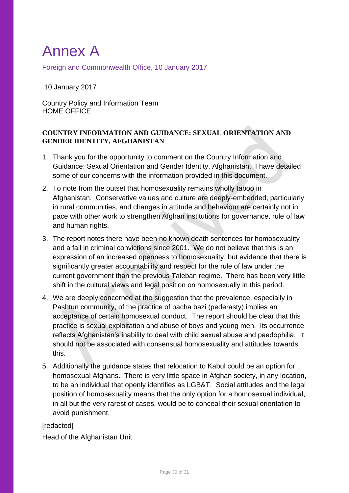# <span id="page-29-0"></span>Annex A

<span id="page-29-1"></span>Foreign and Commonwealth Office, 10 January 2017

10 January 2017

Country Policy and Information Team HOME OFFICE

### **COUNTRY INFORMATION AND GUIDANCE: SEXUAL ORIENTATION AND GENDER IDENTITY, AFGHANISTAN**

- 1. Thank you for the opportunity to comment on the Country Information and Guidance: Sexual Orientation and Gender Identity, Afghanistan. I have detailed some of our concerns with the information provided in this document.
- 2. To note from the outset that homosexuality remains wholly taboo in Afghanistan. Conservative values and culture are deeply-embedded, particularly in rural communities, and changes in attitude and behaviour are certainly not in pace with other work to strengthen Afghan institutions for governance, rule of law and human rights.
- 3. The report notes there have been no known death sentences for homosexuality and a fall in criminal convictions since 2001. We do not believe that this is an expression of an increased openness to homosexuality, but evidence that there is significantly greater accountability and respect for the rule of law under the current government than the previous Taleban regime. There has been very little shift in the cultural views and legal position on homosexually in this period.
- 4. We are deeply concerned at the suggestion that the prevalence, especially in Pashtun community, of the practice of bacha bazi (pederasty) implies an acceptance of certain homosexual conduct. The report should be clear that this practice is sexual exploitation and abuse of boys and young men. Its occurrence reflects Afghanistan's inability to deal with child sexual abuse and paedophilia. It should not be associated with consensual homosexuality and attitudes towards this.
- 5. Additionally the guidance states that relocation to Kabul could be an option for homosexual Afghans. There is very little space in Afghan society, in any location, to be an individual that openly identifies as LGB&T. Social attitudes and the legal position of homosexuality means that the only option for a homosexual individual, in all but the very rarest of cases, would be to conceal their sexual orientation to avoid punishment.

#### [redacted]

Head of the Afghanistan Unit